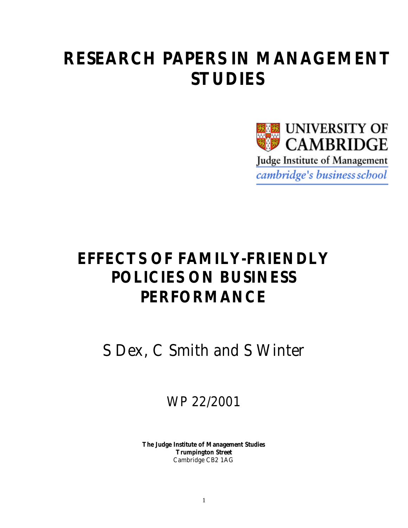# **RESEARCH PAPERS IN MANAGEMENT STUDIES**



# **EFFECTS OF FAMILY-FRIENDLY POLICIES ON BUSINESS PERFORMANCE**

S Dex, C Smith and S Winter

WP 22/2001

**The Judge Institute of Management Studies Trumpington Street** Cambridge CB2 1AG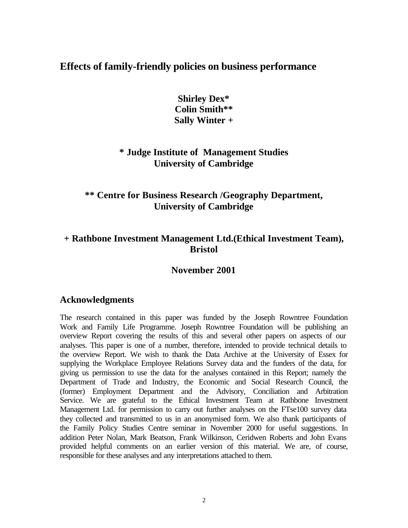## **Effects of family-friendly policies on business performance**

**Shirley Dex\* Colin Smith\*\* Sally Winter +**

## **\* Judge Institute of Management Studies University of Cambridge**

## **\*\* Centre for Business Research /Geography Department, University of Cambridge**

## **+ Rathbone Investment Management Ltd.(Ethical Investment Team), Bristol**

## **November 2001**

#### **Acknowledgments**

The research contained in this paper was funded by the Joseph Rowntree Foundation Work and Family Life Programme. Joseph Rowntree Foundation will be publishing an overview Report covering the results of this and several other papers on aspects of our analyses. This paper is one of a number, therefore, intended to provide technical details to the overview Report. We wish to thank the Data Archive at the University of Essex for supplying the Workplace Employee Relations Survey data and the funders of the data, for giving us permission to use the data for the analyses contained in this Report; namely the Department of Trade and Industry, the Economic and Social Research Council, the (former) Employment Department and the Advisory, Conciliation and Arbitration Service. We are grateful to the Ethical Investment Team at Rathbone Investment Management Ltd. for permission to carry out further analyses on the FTse100 survey data they collected and transmitted to us in an anonymised form. We also thank participants of the Family Policy Studies Centre seminar in November 2000 for useful suggestions. In addition Peter Nolan, Mark Beatson, Frank Wilkinson, Ceridwen Roberts and John Evans provided helpful comments on an earlier version of this material. We are, of course, responsible for these analyses and any interpretations attached to them.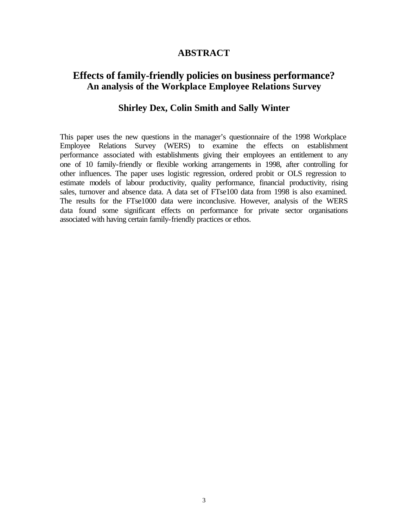#### **ABSTRACT**

## **Effects of family-friendly policies on business performance? An analysis of the Workplace Employee Relations Survey**

## **Shirley Dex, Colin Smith and Sally Winter**

This paper uses the new questions in the manager's questionnaire of the 1998 Workplace Employee Relations Survey (WERS) to examine the effects on establishment performance associated with establishments giving their employees an entitlement to any one of 10 family-friendly or flexible working arrangements in 1998, after controlling for other influences. The paper uses logistic regression, ordered probit or OLS regression to estimate models of labour productivity, quality performance, financial productivity, rising sales, turnover and absence data. A data set of FTse100 data from 1998 is also examined. The results for the FTse1000 data were inconclusive. However, analysis of the WERS data found some significant effects on performance for private sector organisations associated with having certain family-friendly practices or ethos.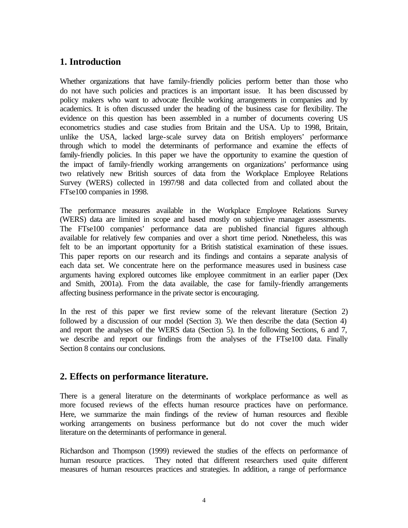## **1. Introduction**

Whether organizations that have family-friendly policies perform better than those who do not have such policies and practices is an important issue. It has been discussed by policy makers who want to advocate flexible working arrangements in companies and by academics. It is often discussed under the heading of the business case for flexibility. The evidence on this question has been assembled in a number of documents covering US econometrics studies and case studies from Britain and the USA. Up to 1998, Britain, unlike the USA, lacked large-scale survey data on British employers' performance through which to model the determinants of performance and examine the effects of family-friendly policies. In this paper we have the opportunity to examine the question of the impact of family-friendly working arrangements on organizations' performance using two relatively new British sources of data from the Workplace Employee Relations Survey (WERS) collected in 1997/98 and data collected from and collated about the FTse100 companies in 1998.

The performance measures available in the Workplace Employee Relations Survey (WERS) data are limited in scope and based mostly on subjective manager assessments. The FTse100 companies' performance data are published financial figures although available for relatively few companies and over a short time period. Nonetheless, this was felt to be an important opportunity for a British statistical examination of these issues. This paper reports on our research and its findings and contains a separate analysis of each data set. We concentrate here on the performance measures used in business case arguments having explored outcomes like employee commitment in an earlier paper (Dex and Smith, 2001a). From the data available, the case for family-friendly arrangements affecting business performance in the private sector is encouraging.

In the rest of this paper we first review some of the relevant literature (Section 2) followed by a discussion of our model (Section 3). We then describe the data (Section 4) and report the analyses of the WERS data (Section 5). In the following Sections, 6 and 7, we describe and report our findings from the analyses of the FTse100 data. Finally Section 8 contains our conclusions.

## **2. Effects on performance literature.**

There is a general literature on the determinants of workplace performance as well as more focused reviews of the effects human resource practices have on performance. Here, we summarize the main findings of the review of human resources and flexible working arrangements on business performance but do not cover the much wider literature on the determinants of performance in general.

Richardson and Thompson (1999) reviewed the studies of the effects on performance of human resource practices. They noted that different researchers used quite different measures of human resources practices and strategies. In addition, a range of performance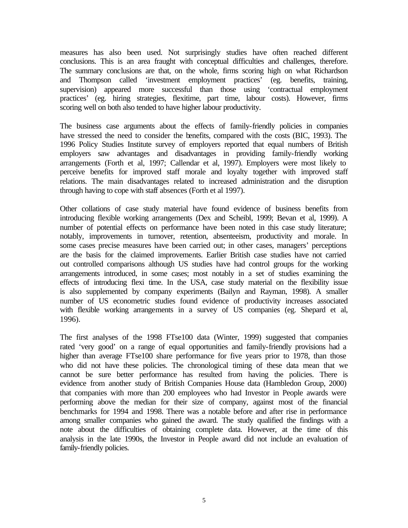measures has also been used. Not surprisingly studies have often reached different conclusions. This is an area fraught with conceptual difficulties and challenges, therefore. The summary conclusions are that, on the whole, firms scoring high on what Richardson and Thompson called 'investment employment practices' (eg. benefits, training, supervision) appeared more successful than those using 'contractual employment practices' (eg. hiring strategies, flexitime, part time, labour costs). However, firms scoring well on both also tended to have higher labour productivity.

The business case arguments about the effects of family-friendly policies in companies have stressed the need to consider the benefits, compared with the costs (BIC, 1993). The 1996 Policy Studies Institute survey of employers reported that equal numbers of British employers saw advantages and disadvantages in providing family-friendly working arrangements (Forth et al, 1997; Callendar et al, 1997). Employers were most likely to perceive benefits for improved staff morale and loyalty together with improved staff relations. The main disadvantages related to increased administration and the disruption through having to cope with staff absences (Forth et al 1997).

Other collations of case study material have found evidence of business benefits from introducing flexible working arrangements (Dex and Scheibl, 1999; Bevan et al, 1999). A number of potential effects on performance have been noted in this case study literature; notably, improvements in turnover, retention, absenteeism, productivity and morale. In some cases precise measures have been carried out; in other cases, managers' perceptions are the basis for the claimed improvements. Earlier British case studies have not carried out controlled comparisons although US studies have had control groups for the working arrangements introduced, in some cases; most notably in a set of studies examining the effects of introducing flexi time. In the USA, case study material on the flexibility issue is also supplemented by company experiments (Bailyn and Rayman, 1998). A smaller number of US econometric studies found evidence of productivity increases associated with flexible working arrangements in a survey of US companies (eg. Shepard et al, 1996).

The first analyses of the 1998 FTse100 data (Winter, 1999) suggested that companies rated 'very good' on a range of equal opportunities and family-friendly provisions had a higher than average FTse100 share performance for five years prior to 1978, than those who did not have these policies. The chronological timing of these data mean that we cannot be sure better performance has resulted from having the policies. There is evidence from another study of British Companies House data (Hambledon Group, 2000) that companies with more than 200 employees who had Investor in People awards were performing above the median for their size of company, against most of the financial benchmarks for 1994 and 1998. There was a notable before and after rise in performance among smaller companies who gained the award. The study qualified the findings with a note about the difficulties of obtaining complete data. However, at the time of this analysis in the late 1990s, the Investor in People award did not include an evaluation of family-friendly policies.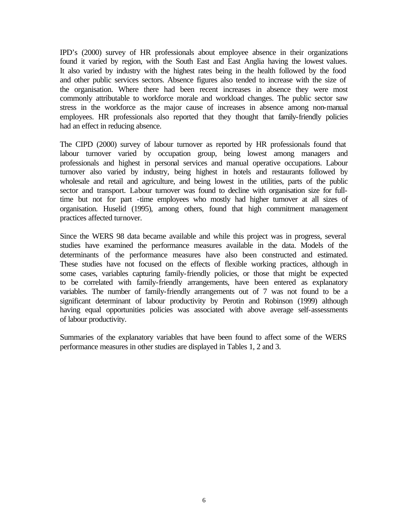IPD's (2000) survey of HR professionals about employee absence in their organizations found it varied by region, with the South East and East Anglia having the lowest values. It also varied by industry with the highest rates being in the health followed by the food and other public services sectors. Absence figures also tended to increase with the size of the organisation. Where there had been recent increases in absence they were most commonly attributable to workforce morale and workload changes. The public sector saw stress in the workforce as the major cause of increases in absence among non-manual employees. HR professionals also reported that they thought that family-friendly policies had an effect in reducing absence.

The CIPD (2000) survey of labour turnover as reported by HR professionals found that labour turnover varied by occupation group, being lowest among managers and professionals and highest in personal services and manual operative occupations. Labour turnover also varied by industry, being highest in hotels and restaurants followed by wholesale and retail and agriculture, and being lowest in the utilities, parts of the public sector and transport. Labour turnover was found to decline with organisation size for fulltime but not for part -time employees who mostly had higher turnover at all sizes of organisation. Huselid (1995), among others, found that high commitment management practices affected turnover.

Since the WERS 98 data became available and while this project was in progress, several studies have examined the performance measures available in the data. Models of the determinants of the performance measures have also been constructed and estimated. These studies have not focused on the effects of flexible working practices, although in some cases, variables capturing family-friendly policies, or those that might be expected to be correlated with family-friendly arrangements, have been entered as explanatory variables. The number of family-friendly arrangements out of 7 was not found to be a significant determinant of labour productivity by Perotin and Robinson (1999) although having equal opportunities policies was associated with above average self-assessments of labour productivity.

Summaries of the explanatory variables that have been found to affect some of the WERS performance measures in other studies are displayed in Tables 1, 2 and 3.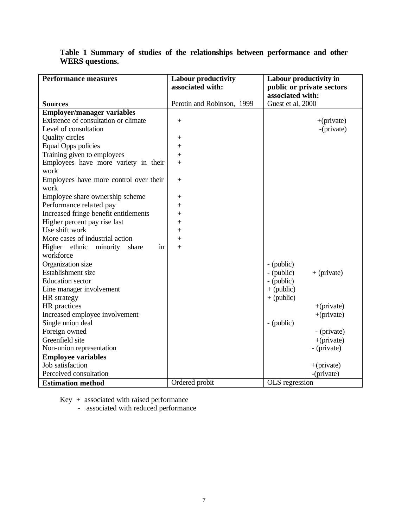| <b>Performance measures</b>            | <b>Labour productivity</b><br>associated with: | Labour productivity in<br>public or private sectors |
|----------------------------------------|------------------------------------------------|-----------------------------------------------------|
| <b>Sources</b>                         | Perotin and Robinson, 1999                     | associated with:<br>Guest et al, 2000               |
| <b>Employer/manager variables</b>      |                                                |                                                     |
| Existence of consultation or climate   | $^{+}$                                         | $+(private)$                                        |
| Level of consultation                  |                                                | -(private)                                          |
| Quality circles                        | $\hspace{0.1mm} +$                             |                                                     |
| <b>Equal Opps policies</b>             | $\ddot{}$                                      |                                                     |
| Training given to employees            | $\ddot{}$                                      |                                                     |
| Employees have more variety in their   | $\boldsymbol{+}$                               |                                                     |
| work                                   |                                                |                                                     |
| Employees have more control over their | $^{+}$                                         |                                                     |
| work                                   |                                                |                                                     |
| Employee share ownership scheme        | $^{+}$                                         |                                                     |
| Performance related pay                | $\! + \!$                                      |                                                     |
| Increased fringe benefit entitlements  | $^{+}$                                         |                                                     |
| Higher percent pay rise last           | $^{+}$                                         |                                                     |
| Use shift work                         | $\ddot{}$                                      |                                                     |
| More cases of industrial action        | $\ddot{}$                                      |                                                     |
| Higher ethnic minority<br>share<br>in  | $\boldsymbol{+}$                               |                                                     |
| workforce                              |                                                |                                                     |
| Organization size                      |                                                | - (public)                                          |
| Establishment size                     |                                                | - (public)<br>$+$ (private)                         |
| <b>Education</b> sector                |                                                | - (public)                                          |
| Line manager involvement               |                                                | $+$ (public)                                        |
| HR strategy                            |                                                | $+$ (public)                                        |
| HR practices                           |                                                | $+(private)$                                        |
| Increased employee involvement         |                                                | $+(private)$                                        |
| Single union deal                      |                                                | - (public)                                          |
| Foreign owned                          |                                                | - (private)                                         |
| Greenfield site                        |                                                | $+(private)$                                        |
| Non-union representation               |                                                | - (private)                                         |
| <b>Employee variables</b>              |                                                |                                                     |
| Job satisfaction                       |                                                | $+(private)$                                        |
| Perceived consultation                 |                                                | -(private)                                          |
| <b>Estimation method</b>               | Ordered probit                                 | OLS regression                                      |

## **Table 1 Summary of studies of the relationships between performance and other WERS questions.**

Key + associated with raised performance

- associated with reduced performance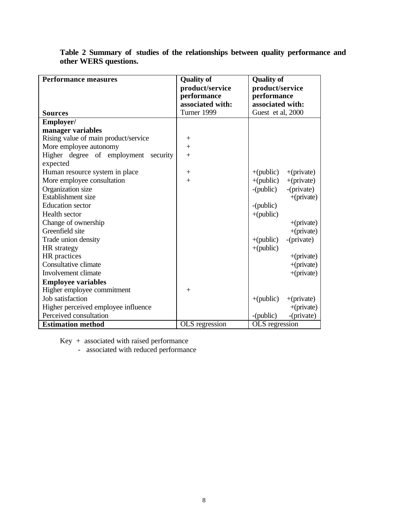| <b>Performance measures</b>             | <b>Quality of</b><br>product/service<br>performance<br>associated with: | <b>Quality of</b><br>product/service<br>performance<br>associated with: |  |  |
|-----------------------------------------|-------------------------------------------------------------------------|-------------------------------------------------------------------------|--|--|
| Sources                                 | Turner 1999                                                             | Guest et al, 2000                                                       |  |  |
| Employer/                               |                                                                         |                                                                         |  |  |
| manager variables                       |                                                                         |                                                                         |  |  |
| Rising value of main product/service    | $^{+}$                                                                  |                                                                         |  |  |
| More employee autonomy                  | $+$                                                                     |                                                                         |  |  |
| Higher degree of employment<br>security | $+$                                                                     |                                                                         |  |  |
| expected                                |                                                                         |                                                                         |  |  |
| Human resource system in place          | $^{+}$                                                                  | $+(public)$<br>$+(private)$                                             |  |  |
| More employee consultation              | $+$                                                                     | $+(public)$<br>$+(private)$                                             |  |  |
| Organization size                       |                                                                         | -(private)<br>-(public)                                                 |  |  |
| Establishment size                      |                                                                         | $+(private)$                                                            |  |  |
| <b>Education</b> sector                 |                                                                         | $-(public)$                                                             |  |  |
| Health sector                           |                                                                         | $+(public)$                                                             |  |  |
| Change of ownership                     |                                                                         | $+(private)$                                                            |  |  |
| Greenfield site                         |                                                                         | $+(private)$                                                            |  |  |
| Trade union density                     |                                                                         | -(private)<br>$+(public)$                                               |  |  |
| <b>HR</b> strategy                      |                                                                         | $+(public)$                                                             |  |  |
| HR practices                            |                                                                         | $+(private)$                                                            |  |  |
| Consultative climate                    |                                                                         | $+(private)$                                                            |  |  |
| Involvement climate                     |                                                                         | $+(private)$                                                            |  |  |
| <b>Employee variables</b>               |                                                                         |                                                                         |  |  |
| Higher employee commitment              | $^{+}$                                                                  |                                                                         |  |  |
| Job satisfaction                        |                                                                         | $+(public)$<br>$+(private)$                                             |  |  |
| Higher perceived employee influence     |                                                                         | $+(private)$                                                            |  |  |
| Perceived consultation                  |                                                                         | -(private)<br>-(public)                                                 |  |  |
| <b>Estimation method</b>                | OLS regression                                                          | OLS regression                                                          |  |  |

**Table 2 Summary of studies of the relationships between quality performance and other WERS questions.**

Key + associated with raised performance

- associated with reduced performance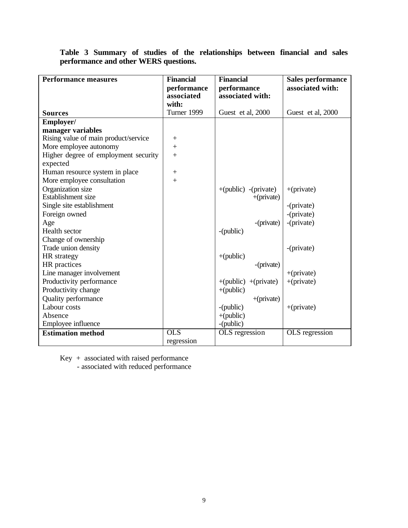|  |                                       |  |  | Table 3 Summary of studies of the relationships between financial and sales |  |  |
|--|---------------------------------------|--|--|-----------------------------------------------------------------------------|--|--|
|  | performance and other WERS questions. |  |  |                                                                             |  |  |

| <b>Performance measures</b>          | <b>Financial</b> | <b>Financial</b>        | Sales performance |
|--------------------------------------|------------------|-------------------------|-------------------|
|                                      | performance      | performance             | associated with:  |
|                                      | associated       | associated with:        |                   |
|                                      | with:            |                         |                   |
| <b>Sources</b>                       | Turner 1999      | Guest et al, 2000       | Guest et al, 2000 |
| Employer/                            |                  |                         |                   |
| manager variables                    |                  |                         |                   |
| Rising value of main product/service | $^{+}$           |                         |                   |
| More employee autonomy               | $^{+}$           |                         |                   |
| Higher degree of employment security | $^{+}$           |                         |                   |
| expected                             |                  |                         |                   |
| Human resource system in place       |                  |                         |                   |
| More employee consultation           | $+$              |                         |                   |
| Organization size                    |                  | $+(public) - (private)$ | $+(private)$      |
| Establishment size                   |                  | $+(private)$            |                   |
| Single site establishment            |                  |                         | -(private)        |
| Foreign owned                        |                  |                         | -(private)        |
| Age                                  |                  | -(private)              | -(private)        |
| Health sector                        |                  | -(public)               |                   |
| Change of ownership                  |                  |                         |                   |
| Trade union density                  |                  |                         | -(private)        |
| HR strategy                          |                  | $+(public)$             |                   |
| HR practices                         |                  | -(private)              |                   |
| Line manager involvement             |                  |                         | $+(private)$      |
| Productivity performance             |                  | $+(public) + (private)$ | $+(private)$      |
| Productivity change                  |                  | $+(public)$             |                   |
| Quality performance                  |                  | $+(private)$            |                   |
| Labour costs                         |                  | -(public)               | $+(private)$      |
| Absence                              |                  | $+(public)$             |                   |
| Employee influence                   |                  | -(public)               |                   |
| <b>Estimation method</b>             | <b>OLS</b>       | OLS regression          | OLS regression    |
|                                      | regression       |                         |                   |

Key + associated with raised performance

- associated with reduced performance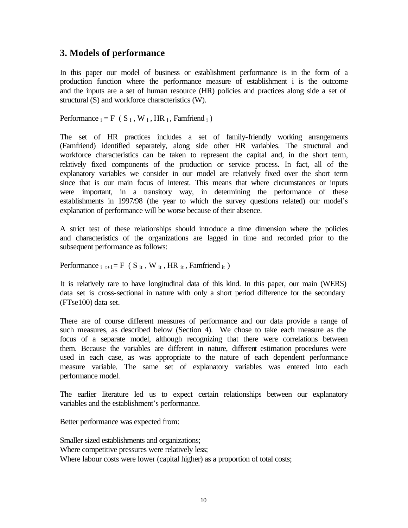## **3. Models of performance**

In this paper our model of business or establishment performance is in the form of a production function where the performance measure of establishment i is the outcome and the inputs are a set of human resource (HR) policies and practices along side a set of structural (S) and workforce characteristics (W).

Performance  $i = F(S_i, W_i, HR_i, Famfriend_i)$ 

The set of HR practices includes a set of family-friendly working arrangements (Famfriend) identified separately, along side other HR variables. The structural and workforce characteristics can be taken to represent the capital and, in the short term, relatively fixed components of the production or service process. In fact, all of the explanatory variables we consider in our model are relatively fixed over the short term since that is our main focus of interest. This means that where circumstances or inputs were important, in a transitory way, in determining the performance of these establishments in 1997/98 (the year to which the survey questions related) our model's explanation of performance will be worse because of their absence.

A strict test of these relationships should introduce a time dimension where the policies and characteristics of the organizations are lagged in time and recorded prior to the subsequent performance as follows:

Performance  $_{i}$  t<sub>+1</sub> = F ( S <sub>it</sub>, W <sub>it</sub>, HR <sub>it</sub>, Famfriend <sub>it</sub>)

It is relatively rare to have longitudinal data of this kind. In this paper, our main (WERS) data set is cross-sectional in nature with only a short period difference for the secondary (FTse100) data set.

There are of course different measures of performance and our data provide a range of such measures, as described below (Section 4). We chose to take each measure as the focus of a separate model, although recognizing that there were correlations between them. Because the variables are different in nature, different estimation procedures were used in each case, as was appropriate to the nature of each dependent performance measure variable. The same set of explanatory variables was entered into each performance model.

The earlier literature led us to expect certain relationships between our explanatory variables and the establishment's performance.

Better performance was expected from:

Smaller sized establishments and organizations; Where competitive pressures were relatively less; Where labour costs were lower (capital higher) as a proportion of total costs;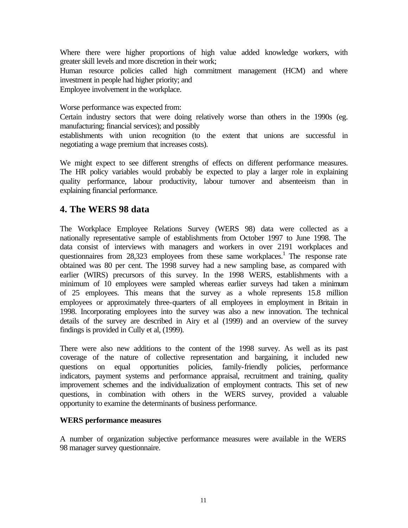Where there were higher proportions of high value added knowledge workers, with greater skill levels and more discretion in their work;

Human resource policies called high commitment management (HCM) and where investment in people had higher priority; and Employee involvement in the workplace.

Worse performance was expected from:

Certain industry sectors that were doing relatively worse than others in the 1990s (eg. manufacturing; financial services); and possibly

establishments with union recognition (to the extent that unions are successful in negotiating a wage premium that increases costs).

We might expect to see different strengths of effects on different performance measures. The HR policy variables would probably be expected to play a larger role in explaining quality performance, labour productivity, labour turnover and absenteeism than in explaining financial performance.

### **4. The WERS 98 data**

The Workplace Employee Relations Survey (WERS 98) data were collected as a nationally representative sample of establishments from October 1997 to June 1998. The data consist of interviews with managers and workers in over 2191 workplaces and questionnaires from 28,323 employees from these same workplaces.<sup>1</sup> The response rate obtained was 80 per cent. The 1998 survey had a new sampling base, as compared with earlier (WIRS) precursors of this survey. In the 1998 WERS, establishments with a minimum of 10 employees were sampled whereas earlier surveys had taken a minimum of 25 employees. This means that the survey as a whole represents 15.8 million employees or approximately three-quarters of all employees in employment in Britain in 1998. Incorporating employees into the survey was also a new innovation. The technical details of the survey are described in Airy et al (1999) and an overview of the survey findings is provided in Cully et al, (1999).

There were also new additions to the content of the 1998 survey. As well as its past coverage of the nature of collective representation and bargaining, it included new questions on equal opportunities policies, family-friendly policies, performance indicators, payment systems and performance appraisal, recruitment and training, quality improvement schemes and the individualization of employment contracts. This set of new questions, in combination with others in the WERS survey, provided a valuable opportunity to examine the determinants of business performance.

#### **WERS performance measures**

A number of organization subjective performance measures were available in the WERS 98 manager survey questionnaire.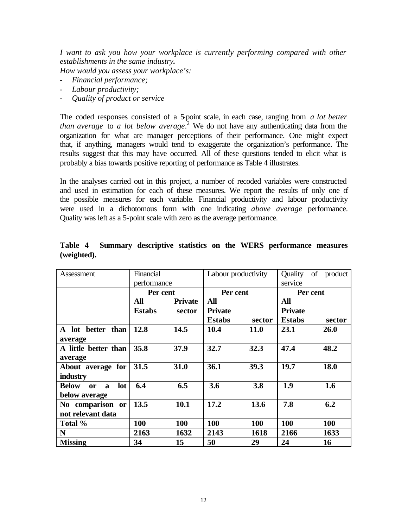*I want to ask you how your workplace is currently performing compared with other establishments in the same industry.*

*How would you assess your workplace's:*

- *Financial performance;*
- *Labour productivity;*
- *Quality of product or service*

The coded responses consisted of a 5-point scale, in each case, ranging from *a lot better than average* to *a lot below average*. 2 We do not have any authenticating data from the organization for what are manager perceptions of their performance. One might expect that, if anything, managers would tend to exaggerate the organization's performance. The results suggest that this may have occurred. All of these questions tended to elicit what is probably a bias towards positive reporting of performance as Table 4 illustrates.

In the analyses carried out in this project, a number of recoded variables were constructed and used in estimation for each of these measures. We report the results of only one of the possible measures for each variable. Financial productivity and labour productivity were used in a dichotomous form with one indicating *above average* performance. Quality was left as a 5-point scale with zero as the average performance.

| Assessment                                                        | Financial     |                |                | Labour productivity |                | Quality of product |  |
|-------------------------------------------------------------------|---------------|----------------|----------------|---------------------|----------------|--------------------|--|
|                                                                   | performance   |                |                |                     | service        |                    |  |
|                                                                   |               | Per cent       |                | Per cent            | Per cent       |                    |  |
|                                                                   | All           | <b>Private</b> | All            |                     | All            |                    |  |
|                                                                   | <b>Estabs</b> | sector         | <b>Private</b> |                     | <b>Private</b> |                    |  |
|                                                                   |               |                | <b>Estabs</b>  | sector              | <b>Estabs</b>  | sector             |  |
| A lot better than<br>average                                      | 12.8          | 14.5           | 10.4           | <b>11.0</b>         | 23.1           | <b>26.0</b>        |  |
| A little better than<br>average                                   | 35.8          | 37.9           | 32.7           | 32.3                | 47.4           | 48.2               |  |
| About average for<br>industry                                     | 31.5          | 31.0           | 36.1           | 39.3                | 19.7           | 18.0               |  |
| <b>Below</b><br>lot<br>$\mathbf{a}$<br><b>or</b><br>below average | 6.4           | 6.5            | 3.6            | 3.8                 | 1.9            | 1.6                |  |
| No comparison or<br>not relevant data                             | 13.5          | 10.1           | 17.2           | 13.6                | 7.8            | 6.2                |  |
| Total %                                                           | 100           | 100            | 100            | 100                 | <b>100</b>     | 100                |  |
| N                                                                 | 2163          | 1632           | 2143           | 1618                | 2166           | 1633               |  |
| <b>Missing</b>                                                    | 34            | 15             | 50             | 29                  | 24             | <b>16</b>          |  |

|             |  |  |  | Table 4 Summary descriptive statistics on the WERS performance measures |  |
|-------------|--|--|--|-------------------------------------------------------------------------|--|
| (weighted). |  |  |  |                                                                         |  |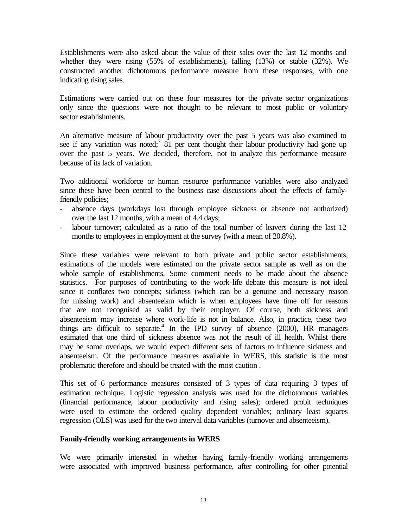Establishments were also asked about the value of their sales over the last 12 months and whether they were rising (55% of establishments), falling (13%) or stable (32%). We constructed another dichotomous performance measure from these responses, with one indicating rising sales.

Estimations were carried out on these four measures for the private sector organizations only since the questions were not thought to be relevant to most public or voluntary sector establishments.

An alternative measure of labour productivity over the past 5 years was also examined to see if any variation was noted;<sup>3</sup>  $\overline{81}$  per cent thought their labour productivity had gone up over the past 5 years. We decided, therefore, not to analyze this performance measure because of its lack of variation.

Two additional workforce or human resource performance variables were also analyzed since these have been central to the business case discussions about the effects of familyfriendly policies;

- absence days (workdays lost through employee sickness or absence not authorized) over the last 12 months, with a mean of 4.4 days;
- labour turnover; calculated as a ratio of the total number of leavers during the last 12 months to employees in employment at the survey (with a mean of 20.8%).

Since these variables were relevant to both private and public sector establishments, estimations of the models were estimated on the private sector sample as well as on the whole sample of establishments. Some comment needs to be made about the absence statistics. For purposes of contributing to the work-life debate this measure is not ideal since it conflates two concepts; sickness (which can be a genuine and necessary reason for missing work) and absenteeism which is when employees have time off for reasons that are not recognised as valid by their employer. Of course, both sickness and absenteeism may increase where work-life is not in balance. Also, in practice, these two things are difficult to separate.<sup>4</sup> In the IPD survey of absence  $(2000)$ , HR managers estimated that one third of sickness absence was not the result of ill health. Whilst there may be some overlaps, we would expect different sets of factors to influence sickness and absenteeism. Of the performance measures available in WERS, this statistic is the most problematic therefore and should be treated with the most caution .

This set of 6 performance measures consisted of 3 types of data requiring 3 types of estimation technique. Logistic regression analysis was used for the dichotomous variables (financial performance, labour productivity and rising sales); ordered probit techniques were used to estimate the ordered quality dependent variables; ordinary least squares regression (OLS) was used for the two interval data variables (turnover and absenteeism).

#### **Family-friendly working arrangements in WERS**

We were primarily interested in whether having family-friendly working arrangements were associated with improved business performance, after controlling for other potential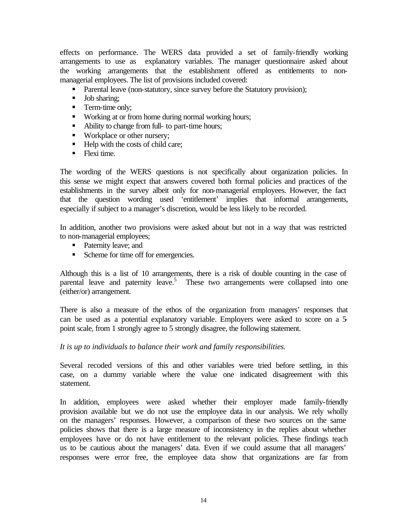effects on performance. The WERS data provided a set of family-friendly working arrangements to use as explanatory variables. The manager questionnaire asked about the working arrangements that the establishment offered as entitlements to nonmanagerial employees. The list of provisions included covered:

- Parental leave (non-statutory, since survey before the Statutory provision);
- **Job sharing:**
- Term-time only:
- **Working at or from home during normal working hours;**
- Ability to change from full- to part-time hours;
- Workplace or other nursery;
- Help with the costs of child care;
- $\blacksquare$  Flexi time.

The wording of the WERS questions is not specifically about organization policies. In this sense we might expect that answers covered both formal policies and practices of the establishments in the survey albeit only for non-managerial employees. However, the fact that the question wording used 'entitlement' implies that informal arrangements, especially if subject to a manager's discretion, would be less likely to be recorded.

In addition, another two provisions were asked about but not in a way that was restricted to non-managerial employees;

- Paternity leave; and
- Scheme for time off for emergencies.

Although this is a list of 10 arrangements, there is a risk of double counting in the case of parental leave and paternity leave.<sup>5</sup> These two arrangements were collapsed into one (either/or) arrangement.

There is also a measure of the ethos of the organization from managers' responses that can be used as a potential explanatory variable. Employers were asked to score on a 5 point scale, from 1 strongly agree to 5 strongly disagree, the following statement.

#### *It is up to individuals to balance their work and family responsibilities.*

Several recoded versions of this and other variables were tried before settling, in this case, on a dummy variable where the value one indicated disagreement with this statement.

In addition, employees were asked whether their employer made family-friendly provision available but we do not use the employee data in our analysis. We rely wholly on the managers' responses. However, a comparison of these two sources on the same policies shows that there is a large measure of inconsistency in the replies about whether employees have or do not have entitlement to the relevant policies. These findings teach us to be cautious about the managers' data. Even if we could assume that all managers' responses were error free, the employee data show that organizations are far from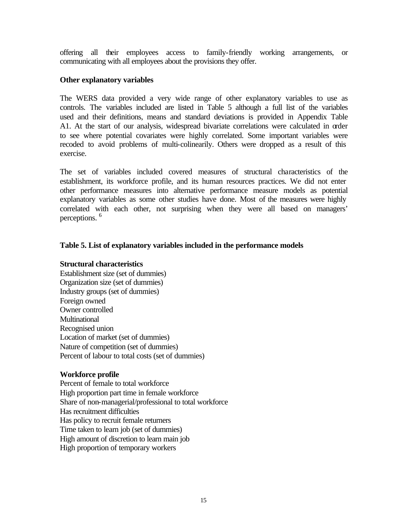offering all their employees access to family-friendly working arrangements, or communicating with all employees about the provisions they offer.

#### **Other explanatory variables**

The WERS data provided a very wide range of other explanatory variables to use as controls. The variables included are listed in Table 5 although a full list of the variables used and their definitions, means and standard deviations is provided in Appendix Table A1. At the start of our analysis, widespread bivariate correlations were calculated in order to see where potential covariates were highly correlated. Some important variables were recoded to avoid problems of multi-colinearily. Others were dropped as a result of this exercise.

The set of variables included covered measures of structural characteristics of the establishment, its workforce profile, and its human resources practices. We did not enter other performance measures into alternative performance measure models as potential explanatory variables as some other studies have done. Most of the measures were highly correlated with each other, not surprising when they were all based on managers' perceptions. <sup>6</sup>

#### **Table 5. List of explanatory variables included in the performance models**

#### **Structural characteristics**

Establishment size (set of dummies) Organization size (set of dummies) Industry groups (set of dummies) Foreign owned Owner controlled Multinational Recognised union Location of market (set of dummies) Nature of competition (set of dummies) Percent of labour to total costs (set of dummies)

#### **Workforce profile**

Percent of female to total workforce High proportion part time in female workforce Share of non-managerial/professional to total workforce Has recruitment difficulties Has policy to recruit female returners Time taken to learn job (set of dummies) High amount of discretion to learn main job High proportion of temporary workers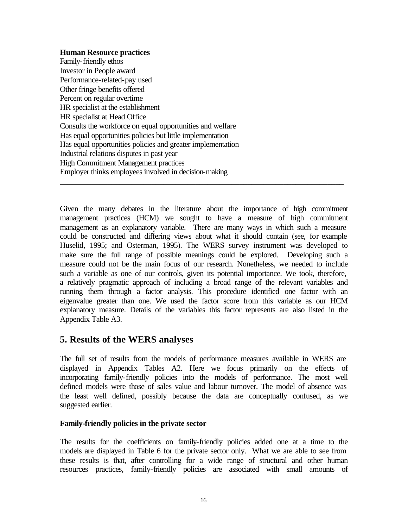#### **Human Resource practices**

Family-friendly ethos Investor in People award Performance-related-pay used Other fringe benefits offered Percent on regular overtime HR specialist at the establishment HR specialist at Head Office Consults the workforce on equal opportunities and welfare Has equal opportunities policies but little implementation Has equal opportunities policies and greater implementation Industrial relations disputes in past year High Commitment Management practices Employer thinks employees involved in decision-making

Given the many debates in the literature about the importance of high commitment management practices (HCM) we sought to have a measure of high commitment management as an explanatory variable. There are many ways in which such a measure could be constructed and differing views about what it should contain (see, for example Huselid, 1995; and Osterman, 1995). The WERS survey instrument was developed to make sure the full range of possible meanings could be explored. Developing such a measure could not be the main focus of our research. Nonetheless, we needed to include such a variable as one of our controls, given its potential importance. We took, therefore, a relatively pragmatic approach of including a broad range of the relevant variables and running them through a factor analysis. This procedure identified one factor with an eigenvalue greater than one. We used the factor score from this variable as our HCM explanatory measure. Details of the variables this factor represents are also listed in the Appendix Table A3.

\_\_\_\_\_\_\_\_\_\_\_\_\_\_\_\_\_\_\_\_\_\_\_\_\_\_\_\_\_\_\_\_\_\_\_\_\_\_\_\_\_\_\_\_\_\_\_\_\_\_\_\_\_\_\_\_\_\_\_\_\_\_\_\_\_\_\_\_\_\_\_

## **5. Results of the WERS analyses**

The full set of results from the models of performance measures available in WERS are displayed in Appendix Tables A2. Here we focus primarily on the effects of incorporating family-friendly policies into the models of performance. The most well defined models were those of sales value and labour turnover. The model of absence was the least well defined, possibly because the data are conceptually confused, as we suggested earlier.

#### **Family-friendly policies in the private sector**

The results for the coefficients on family-friendly policies added one at a time to the models are displayed in Table 6 for the private sector only. What we are able to see from these results is that, after controlling for a wide range of structural and other human resources practices, family-friendly policies are associated with small amounts of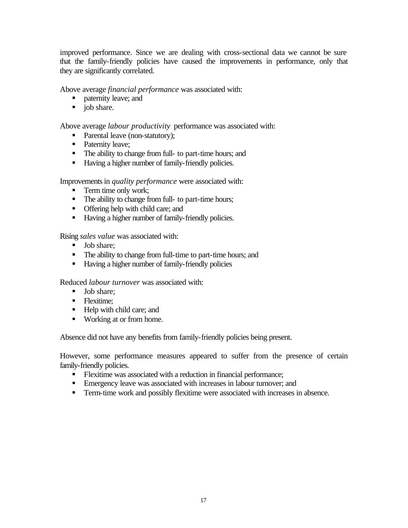improved performance. Since we are dealing with cross-sectional data we cannot be sure that the family-friendly policies have caused the improvements in performance, only that they are significantly correlated.

Above average *financial performance* was associated with:

- **•** paternity leave; and
- $\blacksquare$  job share.

Above average *labour productivity* performance was associated with:

- Parental leave (non-statutory);
- Paternity leave;
- The ability to change from full- to part-time hours; and
- Having a higher number of family-friendly policies.

Improvements in *quality performance* were associated with:

- **Term time only work;**
- The ability to change from full- to part-time hours;
- **•** Offering help with child care; and
- Having a higher number of family-friendly policies.

Rising *sales value* was associated with:

- **Job** share:
- The ability to change from full-time to part-time hours; and
- **Having a higher number of family-friendly policies**

Reduced *labour turnover* was associated with:

- **Job** share:
- Flexitime:
- Help with child care; and
- Working at or from home.

Absence did not have any benefits from family-friendly policies being present.

However, some performance measures appeared to suffer from the presence of certain family-friendly policies.

- **Flexitime was associated with a reduction in financial performance;**
- **Emergency leave was associated with increases in labour turnover; and**
- **Term-time work and possibly flexitime were associated with increases in absence.**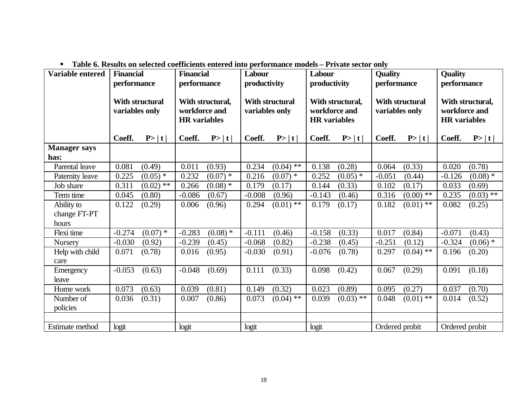| Variable entered            | <b>Financial</b><br>performance          |             | <b>Financial</b><br>performance                          |            | Labour<br>productivity            |                        | Labour<br>productivity                                   |             | <b>Quality</b><br>performance     |             | <b>Quality</b><br>performance                            |             |
|-----------------------------|------------------------------------------|-------------|----------------------------------------------------------|------------|-----------------------------------|------------------------|----------------------------------------------------------|-------------|-----------------------------------|-------------|----------------------------------------------------------|-------------|
|                             | <b>With structural</b><br>variables only |             | With structural,<br>workforce and<br><b>HR</b> variables |            | With structural<br>variables only |                        | With structural,<br>workforce and<br><b>HR</b> variables |             | With structural<br>variables only |             | With structural,<br>workforce and<br><b>HR</b> variables |             |
|                             | Coeff.                                   | P> t        | Coeff.                                                   | P> t       | Coeff.                            | P> t                   | Coeff.                                                   | P> t        | Coeff.                            | P> t        | Coeff.                                                   | P> t        |
| <b>Manager says</b><br>has: |                                          |             |                                                          |            |                                   |                        |                                                          |             |                                   |             |                                                          |             |
| Parental leave              | 0.081                                    | (0.49)      | 0.011                                                    | (0.93)     | 0.234                             | $(0.04)$ **            | 0.138                                                    | (0.28)      | 0.064                             | (0.33)      | 0.020                                                    | (0.78)      |
| Paternity leave             | 0.225                                    | $(0.05)$ *  | 0.232                                                    | $(0.07)$ * | 0.216                             | $(0.07)$ *             | 0.252                                                    | $(0.05)$ *  | $-0.051$                          | (0.44)      | $-0.126$                                                 | $(0.08)$ *  |
| Job share                   | 0.311                                    | $(0.02)$ ** | 0.266                                                    | $(0.08)$ * | 0.179                             | (0.17)                 | 0.144                                                    | (0.33)      | 0.102                             | (0.17)      | 0.033                                                    | (0.69)      |
| Term time                   | 0.045                                    | (0.80)      | $-0.086$                                                 | (0.67)     | $-0.008$                          | (0.96)                 | $-0.143$                                                 | (0.46)      | 0.316                             | $(0.00)$ ** | 0.235                                                    | $(0.03)$ ** |
| Ability to                  | 0.122                                    | (0.29)      | 0.006                                                    | (0.96)     | 0.294                             | $(0.01)$ <sup>**</sup> | 0.179                                                    | (0.17)      | 0.182                             | $(0.01)$ ** | 0.082                                                    | (0.25)      |
| change FT-PT                |                                          |             |                                                          |            |                                   |                        |                                                          |             |                                   |             |                                                          |             |
| hours                       |                                          |             |                                                          |            |                                   |                        |                                                          |             |                                   |             |                                                          |             |
| Flexi time                  | $-0.274$                                 | $(0.07)$ *  | $-0.283$                                                 | $(0.08)$ * | $-0.111$                          | (0.46)                 | $-0.158$                                                 | (0.33)      | 0.017                             | (0.84)      | $-0.071$                                                 | (0.43)      |
| <b>Nursery</b>              | $-0.030$                                 | (0.92)      | $-0.239$                                                 | (0.45)     | $-0.068$                          | (0.82)                 | $-0.238$                                                 | (0.45)      | $-0.251$                          | (0.12)      | $-0.324$                                                 | $(0.06)$ *  |
| Help with child<br>care     | 0.071                                    | (0.78)      | 0.016                                                    | (0.95)     | $-0.030$                          | (0.91)                 | $-0.076$                                                 | (0.78)      | 0.297                             | $(0.04)$ ** | 0.196                                                    | (0.20)      |
| Emergency<br>leave          | $-0.053$                                 | (0.63)      | $-0.048$                                                 | (0.69)     | 0.111                             | (0.33)                 | 0.098                                                    | (0.42)      | 0.067                             | (0.29)      | 0.091                                                    | (0.18)      |
| Home work                   | 0.073                                    | (0.63)      | 0.039                                                    | (0.81)     | 0.149                             | (0.32)                 | 0.023                                                    | (0.89)      | 0.095                             | (0.27)      | 0.037                                                    | (0.70)      |
| Number of                   | 0.036                                    | (0.31)      | 0.007                                                    | (0.86)     | 0.073                             | $(0.04)$ **            | 0.039                                                    | $(0.03)$ ** | 0.048                             | $(0.01)$ ** | 0.014                                                    | (0.52)      |
| policies                    |                                          |             |                                                          |            |                                   |                        |                                                          |             |                                   |             |                                                          |             |
|                             |                                          |             |                                                          |            |                                   |                        |                                                          |             |                                   |             |                                                          |             |
| Estimate method             | logit                                    |             | logit                                                    |            | logit                             |                        | logit                                                    |             | Ordered probit                    |             | Ordered probit                                           |             |

**Table 6. Results on selected coefficients entered into performance models – Private sector only**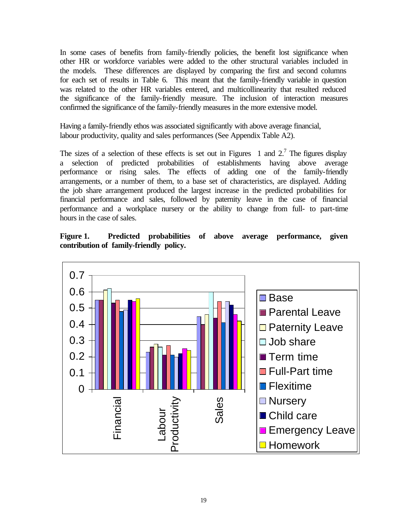In some cases of benefits from family-friendly policies, the benefit lost significance when other HR or workforce variables were added to the other structural variables included in the models. These differences are displayed by comparing the first and second columns for each set of results in Table 6. This meant that the family-friendly variable in question was related to the other HR variables entered, and multicollinearity that resulted reduced the significance of the family-friendly measure. The inclusion of interaction measures confirmed the significance of the family-friendly measures in the more extensive model.

Having a family-friendly ethos was associated significantly with above average financial, labour productivity, quality and sales performances (See Appendix Table A2).

The sizes of a selection of these effects is set out in Figures 1 and  $2^7$ . The figures display a selection of predicted probabilities of establishments having above average performance or rising sales. The effects of adding one of the family-friendly arrangements, or a number of them, to a base set of characteristics, are displayed. Adding the job share arrangement produced the largest increase in the predicted probabilities for financial performance and sales, followed by paternity leave in the case of financial performance and a workplace nursery or the ability to change from full- to part-time hours in the case of sales.

**Figure 1. Predicted probabilities of above average performance, given contribution of family-friendly policy.**

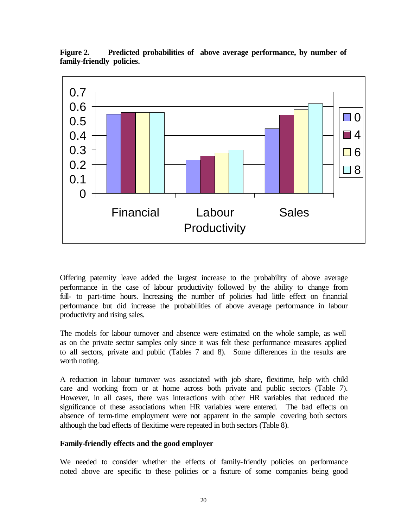

**Figure 2. Predicted probabilities of above average performance, by number of family-friendly policies.**

Offering paternity leave added the largest increase to the probability of above average performance in the case of labour productivity followed by the ability to change from full- to part-time hours. Increasing the number of policies had little effect on financial performance but did increase the probabilities of above average performance in labour productivity and rising sales.

The models for labour turnover and absence were estimated on the whole sample, as well as on the private sector samples only since it was felt these performance measures applied to all sectors, private and public (Tables 7 and 8). Some differences in the results are worth noting.

A reduction in labour turnover was associated with job share, flexitime, help with child care and working from or at home across both private and public sectors (Table 7). However, in all cases, there was interactions with other HR variables that reduced the significance of these associations when HR variables were entered. The bad effects on absence of term-time employment were not apparent in the sample covering both sectors although the bad effects of flexitime were repeated in both sectors (Table 8).

#### **Family-friendly effects and the good employer**

We needed to consider whether the effects of family-friendly policies on performance noted above are specific to these policies or a feature of some companies being good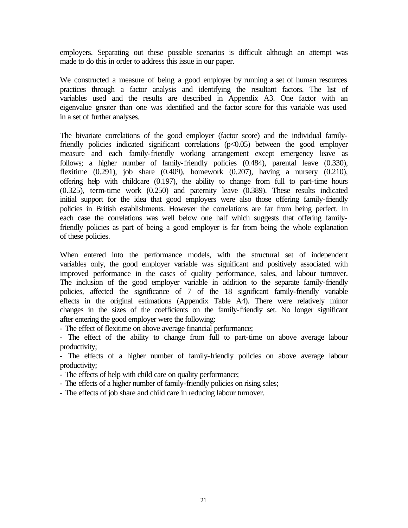employers. Separating out these possible scenarios is difficult although an attempt was made to do this in order to address this issue in our paper.

We constructed a measure of being a good employer by running a set of human resources practices through a factor analysis and identifying the resultant factors. The list of variables used and the results are described in Appendix A3. One factor with an eigenvalue greater than one was identified and the factor score for this variable was used in a set of further analyses.

The bivariate correlations of the good employer (factor score) and the individual familyfriendly policies indicated significant correlations (p<0.05) between the good employer measure and each family-friendly working arrangement except emergency leave as follows; a higher number of family-friendly policies (0.484), parental leave (0.330), flexitime (0.291), job share (0.409), homework (0.207), having a nursery (0.210), offering help with childcare (0.197), the ability to change from full to part-time hours (0.325), term-time work (0.250) and paternity leave (0.389). These results indicated initial support for the idea that good employers were also those offering family-friendly policies in British establishments. However the correlations are far from being perfect. In each case the correlations was well below one half which suggests that offering familyfriendly policies as part of being a good employer is far from being the whole explanation of these policies.

When entered into the performance models, with the structural set of independent variables only, the good employer variable was significant and positively associated with improved performance in the cases of quality performance, sales, and labour turnover. The inclusion of the good employer variable in addition to the separate family-friendly policies, affected the significance of 7 of the 18 significant family-friendly variable effects in the original estimations (Appendix Table A4). There were relatively minor changes in the sizes of the coefficients on the family-friendly set. No longer significant after entering the good employer were the following:

- The effect of flexitime on above average financial performance;

- The effect of the ability to change from full to part-time on above average labour productivity;

- The effects of a higher number of family-friendly policies on above average labour productivity;

- The effects of help with child care on quality performance;

- The effects of a higher number of family-friendly policies on rising sales;

- The effects of job share and child care in reducing labour turnover.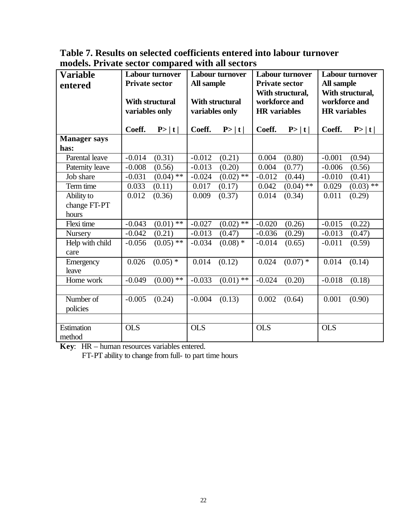**Table 7. Results on selected coefficients entered into labour turnover models. Private sector compared with all sectors**

| <b>Variable</b><br>entered | <b>Labour turnover</b><br><b>Private sector</b><br>With structural<br>variables only |                        | <b>Labour turnover</b><br>All sample<br><b>With structural</b><br>variables only |              | <b>Private sector</b><br>workforce and<br><b>HR</b> variables | <b>Labour turnover</b><br>With structural, | <b>Labour turnover</b><br>All sample<br>With structural,<br>workforce and<br><b>HR</b> variables |             |
|----------------------------|--------------------------------------------------------------------------------------|------------------------|----------------------------------------------------------------------------------|--------------|---------------------------------------------------------------|--------------------------------------------|--------------------------------------------------------------------------------------------------|-------------|
|                            | Coeff.                                                                               | P> t                   | Coeff.                                                                           | P> t         | Coeff.                                                        | P> t                                       | Coeff.                                                                                           | P> t        |
| <b>Manager</b> says        |                                                                                      |                        |                                                                                  |              |                                                               |                                            |                                                                                                  |             |
| has:                       |                                                                                      |                        |                                                                                  |              |                                                               |                                            |                                                                                                  |             |
| Parental leave             | $-0.014$                                                                             | (0.31)                 | $-0.012$                                                                         | (0.21)       | 0.004                                                         | (0.80)                                     | $-0.001$                                                                                         | (0.94)      |
| Paternity leave            | $-0.008$                                                                             | (0.56)                 | $-0.013$                                                                         | (0.20)       | 0.004                                                         | (0.77)                                     | $-0.006$                                                                                         | (0.56)      |
| Job share                  | $-0.031$                                                                             | $(0.04)$ <sup>**</sup> | $-0.024$                                                                         | $(0.02)$ **  | $-0.012$                                                      | (0.44)                                     | $-0.010$                                                                                         | (0.41)      |
| Term time                  | 0.033                                                                                | (0.11)                 | 0.017                                                                            | (0.17)       | 0.042                                                         | $(0.04)$ **                                | 0.029                                                                                            | $(0.03)$ ** |
| Ability to                 | 0.012                                                                                | (0.36)                 | 0.009                                                                            | (0.37)       | 0.014                                                         | (0.34)                                     | 0.011                                                                                            | (0.29)      |
| change FT-PT               |                                                                                      |                        |                                                                                  |              |                                                               |                                            |                                                                                                  |             |
| hours                      |                                                                                      |                        |                                                                                  |              |                                                               |                                            |                                                                                                  |             |
| Flexi time                 | $-0.043$                                                                             | $(0.01)$ **            | $-0.027$                                                                         | $(0.02)$ **  | $-0.020$                                                      | (0.26)                                     | $-0.015$                                                                                         | (0.22)      |
| <b>Nursery</b>             | $-0.042$                                                                             | (0.21)                 | $-0.013$                                                                         | (0.47)       | $-0.036$                                                      | (0.29)                                     | $-0.013$                                                                                         | (0.47)      |
| Help with child            | $-0.056$                                                                             | $(0.05)$ **            | $-0.034$                                                                         | $(0.08)^{1}$ | $-0.014$                                                      | (0.65)                                     | $-0.011$                                                                                         | (0.59)      |
| care                       |                                                                                      |                        |                                                                                  |              |                                                               |                                            |                                                                                                  |             |
| Emergency                  | 0.026                                                                                | $(0.05)$ *             | 0.014                                                                            | (0.12)       | 0.024                                                         | $(0.07)$ *                                 | 0.014                                                                                            | (0.14)      |
| leave                      |                                                                                      |                        |                                                                                  |              |                                                               |                                            |                                                                                                  |             |
| Home work                  | $-0.049$                                                                             | $(0.00)$ **            | $-0.033$                                                                         | $(0.01)$ **  | $-0.024$                                                      | (0.20)                                     | $-0.018$                                                                                         | (0.18)      |
|                            |                                                                                      |                        |                                                                                  |              |                                                               |                                            |                                                                                                  |             |
| Number of                  | $-0.005$                                                                             | (0.24)                 | $-0.004$                                                                         | (0.13)       | 0.002                                                         | (0.64)                                     | 0.001                                                                                            | (0.90)      |
| policies                   |                                                                                      |                        |                                                                                  |              |                                                               |                                            |                                                                                                  |             |
|                            |                                                                                      |                        |                                                                                  |              |                                                               |                                            |                                                                                                  |             |
| Estimation                 | <b>OLS</b>                                                                           |                        | <b>OLS</b>                                                                       |              | <b>OLS</b>                                                    |                                            | <b>OLS</b>                                                                                       |             |
| method                     |                                                                                      |                        |                                                                                  |              |                                                               |                                            |                                                                                                  |             |

**Key**: HR – human resources variables entered.

FT-PT ability to change from full- to part time hours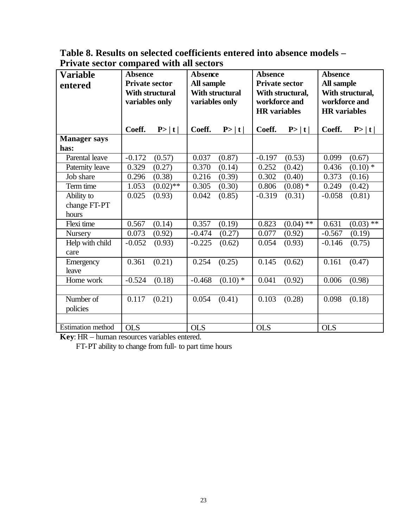**Table 8. Results on selected coefficients entered into absence models – Private sector compared with all sectors**

| <b>Variable</b><br>entered | <b>Absence</b><br><b>Private sector</b><br><b>With structural</b><br>variables only |             | <b>Absence</b><br>All sample<br>variables only | <b>With structural</b> | <b>Absence</b><br><b>Private sector</b><br><b>HR</b> variables | With structural,<br>workforce and | <b>Absence</b><br>All sample<br>With structural,<br>workforce and<br><b>HR</b> variables |             |  |
|----------------------------|-------------------------------------------------------------------------------------|-------------|------------------------------------------------|------------------------|----------------------------------------------------------------|-----------------------------------|------------------------------------------------------------------------------------------|-------------|--|
|                            | Coeff.                                                                              | P> t        | Coeff.                                         | P> t                   | Coeff.                                                         | P> t                              | Coeff.                                                                                   | P> t        |  |
| <b>Manager says</b>        |                                                                                     |             |                                                |                        |                                                                |                                   |                                                                                          |             |  |
| has:                       |                                                                                     |             |                                                |                        |                                                                |                                   |                                                                                          |             |  |
| Parental leave             | $-0.172$                                                                            | (0.57)      | 0.037                                          | (0.87)                 | $-0.197$                                                       | (0.53)                            | 0.099                                                                                    | (0.67)      |  |
| Paternity leave            | 0.329                                                                               | (0.27)      | 0.370                                          | (0.14)                 | 0.252                                                          | (0.42)                            | 0.436                                                                                    | $(0.10)$ *  |  |
| Job share                  | 0.296                                                                               | (0.38)      | 0.216                                          | (0.39)                 | 0.302                                                          | (0.40)                            | 0.373                                                                                    | (0.16)      |  |
| Term time                  | 1.053                                                                               | $(0.02)$ ** | 0.305                                          | (0.30)                 | 0.806                                                          | $(0.08)$ *                        | 0.249                                                                                    | (0.42)      |  |
| Ability to                 | 0.025                                                                               | (0.93)      | 0.042                                          | (0.85)                 | $-0.319$                                                       | (0.31)                            | $-0.058$                                                                                 | (0.81)      |  |
| change FT-PT               |                                                                                     |             |                                                |                        |                                                                |                                   |                                                                                          |             |  |
| hours                      |                                                                                     |             |                                                |                        |                                                                |                                   |                                                                                          |             |  |
| Flexi time                 | 0.567                                                                               | (0.14)      | 0.357                                          | (0.19)                 | 0.823                                                          | $(0.04)$ **                       | 0.631                                                                                    | $(0.03)$ ** |  |
| <b>Nursery</b>             | 0.073                                                                               | (0.92)      | $-0.474$                                       | (0.27)                 | 0.077                                                          | (0.92)                            | $-0.567$                                                                                 | (0.19)      |  |
| Help with child<br>care    | $-0.052$                                                                            | (0.93)      | $-0.225$                                       | (0.62)                 | 0.054                                                          | (0.93)                            | $-0.146$                                                                                 | (0.75)      |  |
| Emergency                  | 0.361                                                                               | (0.21)      | 0.254                                          | (0.25)                 | 0.145                                                          | (0.62)                            | 0.161                                                                                    | (0.47)      |  |
| leave                      |                                                                                     |             |                                                |                        |                                                                |                                   |                                                                                          |             |  |
| Home work                  | $-0.524$                                                                            | (0.18)      | $-0.468$                                       | $(0.10)$ *             | 0.041                                                          | (0.92)                            | 0.006                                                                                    | (0.98)      |  |
|                            |                                                                                     |             |                                                |                        |                                                                |                                   |                                                                                          |             |  |
| Number of                  | 0.117                                                                               | (0.21)      | 0.054                                          | (0.41)                 | 0.103                                                          | (0.28)                            | 0.098                                                                                    | (0.18)      |  |
| policies                   |                                                                                     |             |                                                |                        |                                                                |                                   |                                                                                          |             |  |
|                            |                                                                                     |             |                                                |                        |                                                                |                                   |                                                                                          |             |  |
| <b>Estimation</b> method   | <b>OLS</b>                                                                          |             | <b>OLS</b>                                     |                        | <b>OLS</b>                                                     |                                   | <b>OLS</b>                                                                               |             |  |

**Key**: HR – human resources variables entered.

FT-PT ability to change from full- to part time hours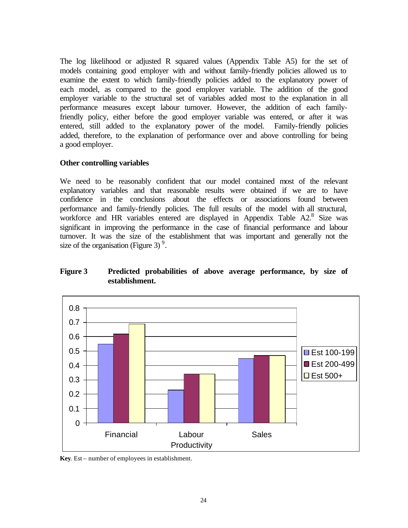The log likelihood or adjusted R squared values (Appendix Table A5) for the set of models containing good employer with and without family-friendly policies allowed us to examine the extent to which family-friendly policies added to the explanatory power of each model, as compared to the good employer variable. The addition of the good employer variable to the structural set of variables added most to the explanation in all performance measures except labour turnover. However, the addition of each familyfriendly policy, either before the good employer variable was entered, or after it was entered, still added to the explanatory power of the model. Family-friendly policies added, therefore, to the explanation of performance over and above controlling for being a good employer.

#### **Other controlling variables**

We need to be reasonably confident that our model contained most of the relevant explanatory variables and that reasonable results were obtained if we are to have confidence in the conclusions about the effects or associations found between performance and family-friendly policies. The full results of the model with all structural, workforce and HR variables entered are displayed in Appendix Table A2.<sup>8</sup> Size was significant in improving the performance in the case of financial performance and labour turnover. It was the size of the establishment that was important and generally not the size of the organisation (Figure 3) $\degree$ .

#### **Figure 3 Predicted probabilities of above average performance, by size of establishment.**



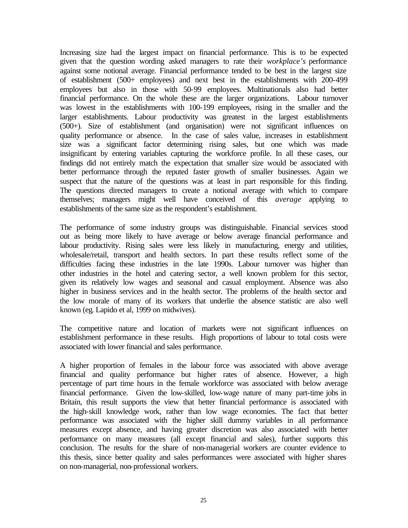Increasing size had the largest impact on financial performance. This is to be expected given that the question wording asked managers to rate their *workplace's* performance against some notional average. Financial performance tended to be best in the largest size of establishment (500+ employees) and next best in the establishments with 200-499 employees but also in those with 50-99 employees. Multinationals also had better financial performance. On the whole these are the larger organizations. Labour turnover was lowest in the establishments with 100-199 employees, rising in the smaller and the larger establishments. Labour productivity was greatest in the largest establishments (500+). Size of establishment (and organisation) were not significant influences on quality performance or absence. In the case of sales value, increases in establishment size was a significant factor determining rising sales, but one which was made insignificant by entering variables capturing the workforce profile. In all these cases, our findings did not entirely match the expectation that smaller size would be associated with better performance through the reputed faster growth of smaller businesses. Again we suspect that the nature of the questions was at least in part responsible for this finding. The questions directed managers to create a notional average with which to compare themselves; managers might well have conceived of this *average* applying to establishments of the same size as the respondent's establishment.

The performance of some industry groups was distinguishable. Financial services stood out as being more likely to have average or below average financial performance and labour productivity. Rising sales were less likely in manufacturing, energy and utilities, wholesale/retail, transport and health sectors. In part these results reflect some of the difficulties facing these industries in the late 1990s. Labour turnover was higher than other industries in the hotel and catering sector, a well known problem for this sector, given its relatively low wages and seasonal and casual employment. Absence was also higher in business services and in the health sector. The problems of the health sector and the low morale of many of its workers that underlie the absence statistic are also well known (eg. Lapido et al, 1999 on midwives).

The competitive nature and location of markets were not significant influences on establishment performance in these results. High proportions of labour to total costs were associated with lower financial and sales performance.

A higher proportion of females in the labour force was associated with above average financial and quality performance but higher rates of absence. However, a high percentage of part time hours in the female workforce was associated with below average financial performance. Given the low-skilled, low-wage nature of many part-time jobs in Britain, this result supports the view that better financial performance is associated with the high-skill knowledge work, rather than low wage economies. The fact that better performance was associated with the higher skill dummy variables in all performance measures except absence, and having greater discretion was also associated with better performance on many measures (all except financial and sales), further supports this conclusion. The results for the share of non-managerial workers are counter evidence to this thesis, since better quality and sales performances were associated with higher shares on non-managerial, non-professional workers.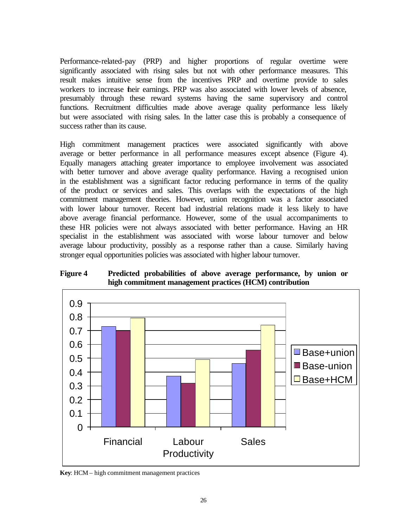Performance-related-pay (PRP) and higher proportions of regular overtime were significantly associated with rising sales but not with other performance measures. This result makes intuitive sense from the incentives PRP and overtime provide to sales workers to increase their earnings. PRP was also associated with lower levels of absence, presumably through these reward systems having the same supervisory and control functions. Recruitment difficulties made above average quality performance less likely but were associated with rising sales. In the latter case this is probably a consequence of success rather than its cause.

High commitment management practices were associated significantly with above average or better performance in all performance measures except absence (Figure 4). Equally managers attaching greater importance to employee involvement was associated with better turnover and above average quality performance. Having a recognised union in the establishment was a significant factor reducing performance in terms of the quality of the product or services and sales. This overlaps with the expectations of the high commitment management theories. However, union recognition was a factor associated with lower labour turnover. Recent bad industrial relations made it less likely to have above average financial performance. However, some of the usual accompaniments to these HR policies were not always associated with better performance. Having an HR specialist in the establishment was associated with worse labour turnover and below average labour productivity, possibly as a response rather than a cause. Similarly having stronger equal opportunities policies was associated with higher labour turnover.

**Figure 4 Predicted probabilities of above average performance, by union or high commitment management practices (HCM) contribution**



**Key**: HCM – high commitment management practices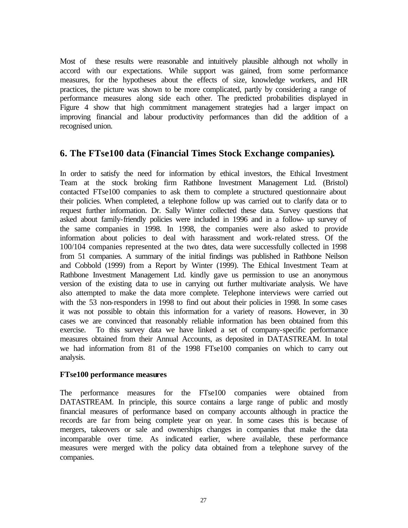Most of these results were reasonable and intuitively plausible although not wholly in accord with our expectations. While support was gained, from some performance measures, for the hypotheses about the effects of size, knowledge workers, and HR practices, the picture was shown to be more complicated, partly by considering a range of performance measures along side each other. The predicted probabilities displayed in Figure 4 show that high commitment management strategies had a larger impact on improving financial and labour productivity performances than did the addition of a recognised union.

## **6. The FTse100 data (Financial Times Stock Exchange companies)***.*

In order to satisfy the need for information by ethical investors, the Ethical Investment Team at the stock broking firm Rathbone Investment Management Ltd. (Bristol) contacted FTse100 companies to ask them to complete a structured questionnaire about their policies. When completed, a telephone follow up was carried out to clarify data or to request further information. Dr. Sally Winter collected these data. Survey questions that asked about family-friendly policies were included in 1996 and in a follow- up survey of the same companies in 1998. In 1998, the companies were also asked to provide information about policies to deal with harassment and work-related stress. Of the 100/104 companies represented at the two dates, data were successfully collected in 1998 from 51 companies. A summary of the initial findings was published in Rathbone Neilson and Cobbold (1999) from a Report by Winter (1999). The Ethical Investment Team at Rathbone Investment Management Ltd. kindly gave us permission to use an anonymous version of the existing data to use in carrying out further multivariate analysis. We have also attempted to make the data more complete. Telephone interviews were carried out with the 53 non-responders in 1998 to find out about their policies in 1998. In some cases it was not possible to obtain this information for a variety of reasons. However, in 30 cases we are convinced that reasonably reliable information has been obtained from this exercise. To this survey data we have linked a set of company-specific performance measures obtained from their Annual Accounts, as deposited in DATASTREAM. In total we had information from 81 of the 1998 FTse100 companies on which to carry out analysis.

#### **FTse100 performance measures**

The performance measures for the FTse100 companies were obtained from DATASTREAM. In principle, this source contains a large range of public and mostly financial measures of performance based on company accounts although in practice the records are far from being complete year on year. In some cases this is because of mergers, takeovers or sale and ownerships changes in companies that make the data incomparable over time. As indicated earlier, where available, these performance measures were merged with the policy data obtained from a telephone survey of the companies.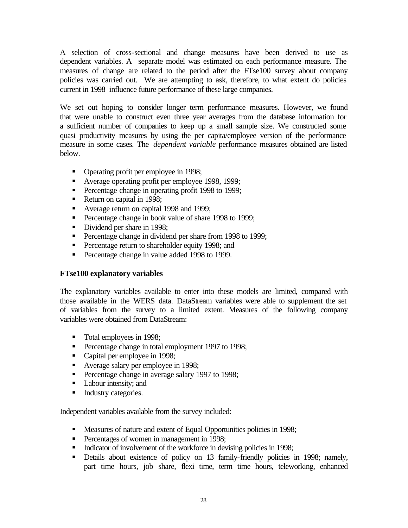A selection of cross-sectional and change measures have been derived to use as dependent variables. A separate model was estimated on each performance measure. The measures of change are related to the period after the FTse100 survey about company policies was carried out. We are attempting to ask, therefore, to what extent do policies current in 1998 influence future performance of these large companies.

We set out hoping to consider longer term performance measures. However, we found that were unable to construct even three year averages from the database information for a sufficient number of companies to keep up a small sample size. We constructed some quasi productivity measures by using the per capita/employee version of the performance measure in some cases. The *dependent variable* performance measures obtained are listed below.

- Operating profit per employee in 1998;
- Average operating profit per employee 1998, 1999;
- **•** Percentage change in operating profit 1998 to 1999;
- Return on capital in 1998;
- Average return on capital 1998 and 1999;
- **•** Percentage change in book value of share 1998 to 1999;
- Dividend per share in 1998;
- **•** Percentage change in dividend per share from 1998 to 1999;
- **•** Percentage return to shareholder equity 1998; and
- **•** Percentage change in value added 1998 to 1999.

#### **FTse100 explanatory variables**

The explanatory variables available to enter into these models are limited, compared with those available in the WERS data. DataStream variables were able to supplement the set of variables from the survey to a limited extent. Measures of the following company variables were obtained from DataStream:

- Total employees in 1998;
- **•** Percentage change in total employment 1997 to 1998;
- Capital per employee in 1998;
- Average salary per employee in 1998;
- **•** Percentage change in average salary 1997 to 1998;
- Labour intensity; and
- Industry categories.

Independent variables available from the survey included:

- Measures of nature and extent of Equal Opportunities policies in 1998;
- **•** Percentages of women in management in 1998;
- Indicator of involvement of the workforce in devising policies in 1998;
- Details about existence of policy on 13 family-friendly policies in 1998; namely, part time hours, job share, flexi time, term time hours, teleworking, enhanced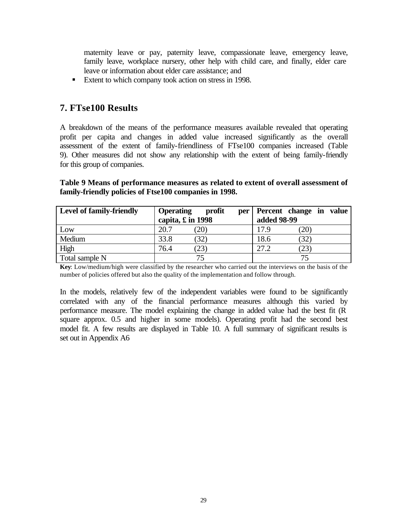maternity leave or pay, paternity leave, compassionate leave, emergency leave, family leave, workplace nursery, other help with child care, and finally, elder care leave or information about elder care assistance; and

■ Extent to which company took action on stress in 1998.

## **7. FTse100 Results**

A breakdown of the means of the performance measures available revealed that operating profit per capita and changes in added value increased significantly as the overall assessment of the extent of family-friendliness of FTse100 companies increased (Table 9). Other measures did not show any relationship with the extent of being family-friendly for this group of companies.

#### **Table 9 Means of performance measures as related to extent of overall assessment of family-friendly policies of Ftse100 companies in 1998.**

| <b>Level of family-friendly</b> | <b>Operating</b>          | profit<br>per |             | Percent change in value |
|---------------------------------|---------------------------|---------------|-------------|-------------------------|
|                                 | capita, $\pounds$ in 1998 |               | added 98-99 |                         |
| Low                             | 20.7                      | (20)          | 17.9        | 20                      |
| Medium                          | 33.8                      | (32)          | 18.6        | (32)                    |
| High                            | 76.4                      | (23)          | 27.2        | 23                      |
| Total sample N                  |                           | 75            |             |                         |

**Key**: Low/medium/high were classified by the researcher who carried out the interviews on the basis of the number of policies offered but also the quality of the implementation and follow through.

In the models, relatively few of the independent variables were found to be significantly correlated with any of the financial performance measures although this varied by performance measure. The model explaining the change in added value had the best fit (R square approx. 0.5 and higher in some models). Operating profit had the second best model fit. A few results are displayed in Table 10. A full summary of significant results is set out in Appendix A6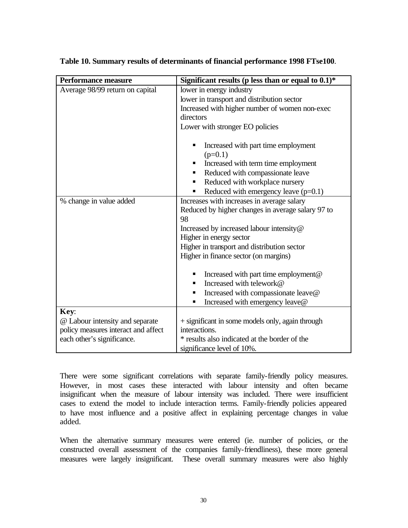| <b>Performance measure</b>          | Significant results (p less than or equal to $0.1$ )* |
|-------------------------------------|-------------------------------------------------------|
| Average 98/99 return on capital     | lower in energy industry                              |
|                                     | lower in transport and distribution sector            |
|                                     | Increased with higher number of women non-exec        |
|                                     | directors                                             |
|                                     | Lower with stronger EO policies                       |
|                                     | Increased with part time employment<br>$(p=0.1)$      |
|                                     | Increased with term time employment<br>п              |
|                                     | Reduced with compassionate leave<br>٠                 |
|                                     | Reduced with workplace nursery<br>п                   |
|                                     | Reduced with emergency leave $(p=0.1)$<br>п           |
| % change in value added             | Increases with increases in average salary            |
|                                     | Reduced by higher changes in average salary 97 to     |
|                                     | 98                                                    |
|                                     | Increased by increased labour intensity@              |
|                                     | Higher in energy sector                               |
|                                     | Higher in transport and distribution sector           |
|                                     | Higher in finance sector (on margins)                 |
|                                     | Increased with part time employment@<br>п             |
|                                     | Increased with telework@<br>■                         |
|                                     | Increased with compassionate leave@<br>п              |
|                                     | Increased with emergency leave@<br>п                  |
| Key:                                |                                                       |
| @ Labour intensity and separate     | + significant in some models only, again through      |
| policy measures interact and affect | interactions.                                         |
| each other's significance.          | * results also indicated at the border of the         |
|                                     | significance level of 10%.                            |

#### **Table 10. Summary results of determinants of financial performance 1998 FTse100**.

There were some significant correlations with separate family-friendly policy measures. However, in most cases these interacted with labour intensity and often became insignificant when the measure of labour intensity was included. There were insufficient cases to extend the model to include interaction terms. Family-friendly policies appeared to have most influence and a positive affect in explaining percentage changes in value added.

When the alternative summary measures were entered (ie. number of policies, or the constructed overall assessment of the companies family-friendliness), these more general measures were largely insignificant. These overall summary measures were also highly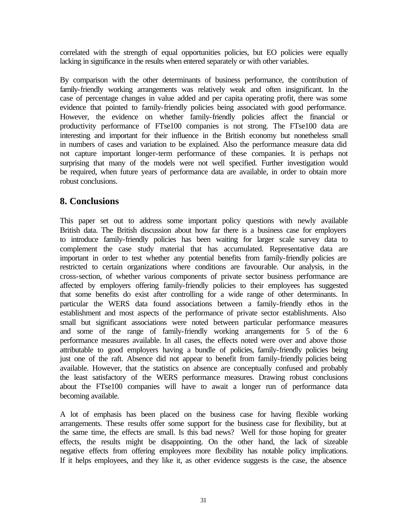correlated with the strength of equal opportunities policies, but EO policies were equally lacking in significance in the results when entered separately or with other variables.

By comparison with the other determinants of business performance, the contribution of family-friendly working arrangements was relatively weak and often insignificant. In the case of percentage changes in value added and per capita operating profit, there was some evidence that pointed to family-friendly policies being associated with good performance. However, the evidence on whether family-friendly policies affect the financial or productivity performance of FTse100 companies is not strong. The FTse100 data are interesting and important for their influence in the British economy but nonetheless small in numbers of cases and variation to be explained. Also the performance measure data did not capture important longer-term performance of these companies. It is perhaps not surprising that many of the models were not well specified. Further investigation would be required, when future years of performance data are available, in order to obtain more robust conclusions.

## **8. Conclusions**

This paper set out to address some important policy questions with newly available British data. The British discussion about how far there is a business case for employers to introduce family-friendly policies has been waiting for larger scale survey data to complement the case study material that has accumulated. Representative data are important in order to test whether any potential benefits from family-friendly policies are restricted to certain organizations where conditions are favourable. Our analysis, in the cross-section, of whether various components of private sector business performance are affected by employers offering family-friendly policies to their employees has suggested that some benefits do exist after controlling for a wide range of other determinants. In particular the WERS data found associations between a family-friendly ethos in the establishment and most aspects of the performance of private sector establishments. Also small but significant associations were noted between particular performance measures and some of the range of family-friendly working arrangements for 5 of the 6 performance measures available. In all cases, the effects noted were over and above those attributable to good employers having a bundle of policies, family-friendly policies being just one of the raft. Absence did not appear to benefit from family-friendly policies being available. However, that the statistics on absence are conceptually confused and probably the least satisfactory of the WERS performance measures. Drawing robust conclusions about the FTse100 companies will have to await a longer run of performance data becoming available.

A lot of emphasis has been placed on the business case for having flexible working arrangements. These results offer some support for the business case for flexibility, but at the same time, the effects are small. Is this bad news? Well for those hoping for greater effects, the results might be disappointing. On the other hand, the lack of sizeable negative effects from offering employees more flexibility has notable policy implications. If it helps employees, and they like it, as other evidence suggests is the case, the absence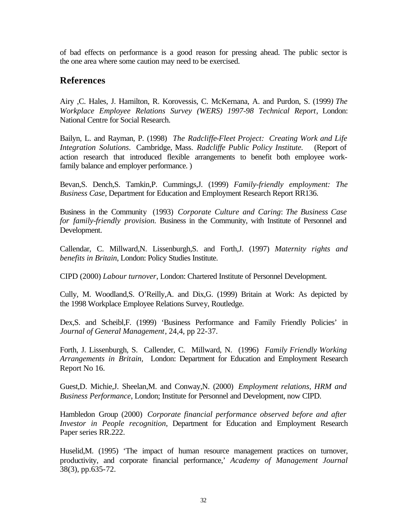of bad effects on performance is a good reason for pressing ahead. The public sector is the one area where some caution may need to be exercised.

## **References**

Airy ,C. Hales, J. Hamilton, R. Korovessis, C. McKernana, A. and Purdon, S. (1999*) The Workplace Employee Relations Survey (WERS) 1997-98 Technical Report*, London: National Centre for Social Research.

Bailyn, L. and Rayman, P. (1998) *The Radcliffe-Fleet Project: Creating Work and Life Integration Solutions*. Cambridge, Mass. *Radcliffe Public Policy Institute.* (Report of action research that introduced flexible arrangements to benefit both employee workfamily balance and employer performance. )

Bevan,S. Dench,S. Tamkin,P. Cummings,J. (1999) *Family-friendly employment: The Business Case*, Department for Education and Employment Research Report RR136.

Business in the Community (1993) *Corporate Culture and Caring*: *The Business Case for family-friendly provision.* Business in the Community, with Institute of Personnel and Development.

Callendar, C. Millward,N. Lissenburgh,S. and Forth,J. (1997) *Maternity rights and benefits in Britain*, London: Policy Studies Institute.

CIPD (2000) *Labour turnover*, London: Chartered Institute of Personnel Development.

Cully, M. Woodland,S. O'Reilly,A. and Dix,G. (1999) Britain at Work: As depicted by the 1998 Workplace Employee Relations Survey, Routledge.

Dex,S. and Scheibl,F. (1999) 'Business Performance and Family Friendly Policies' in *Journal of General Management*, 24,4, pp 22-37.

Forth, J. Lissenburgh, S. Callender, C. Millward, N. (1996) *Family Friendly Working Arrangements in Britain,* London: Department for Education and Employment Research Report No 16.

Guest,D. Michie,J. Sheelan,M. and Conway,N. (2000) *Employment relations, HRM and Business Performance*, London; Institute for Personnel and Development, now CIPD.

Hambledon Group (2000) *Corporate financial performance observed before and after Investor in People recognition*, Department for Education and Employment Research Paper series RR.222.

Huselid, M. (1995) 'The impact of human resource management practices on turnover, productivity, and corporate financial performance,' *Academy of Management Journal* 38(3), pp.635-72.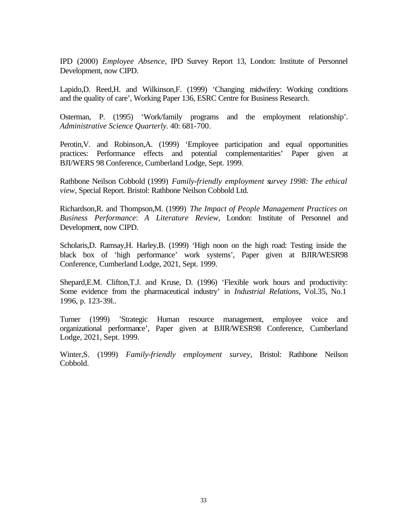IPD (2000) *Employee Absence*, IPD Survey Report 13, London: Institute of Personnel Development, now CIPD.

Lapido,D. Reed,H. and Wilkinson,F. (1999) 'Changing midwifery: Working conditions and the quality of care', Working Paper 136, ESRC Centre for Business Research.

Osterman, P. (1995) 'Work/family programs and the employment relationship'. *Administrative Science Quarterly.* 40: 681-700.

Perotin,V. and Robinson,A. (1999) 'Employee participation and equal opportunities practices: Performance effects and potential complementarities' Paper given at BJI/WERS 98 Conference, Cumberland Lodge, Sept. 1999.

Rathbone Neilson Cobbold (1999) *Family-friendly employment survey 1998: The ethical view*, Special Report. Bristol: Rathbone Neilson Cobbold Ltd.

Richardson,R. and Thompson,M. (1999) *The Impact of People Management Practices on Business Performance*: *A Literature Review*, London: Institute of Personnel and Development, now CIPD.

Scholaris,D. Ramsay,H. Harley,B. (1999) 'High noon on the high road: Testing inside the black box of 'high performance' work systems', Paper given at BJIR/WESR98 Conference, Cumberland Lodge, 2021, Sept. 1999.

Shepard,E.M. Clifton,T.J. and Kruse, D. (1996) 'Flexible work hours and productivity: Some evidence from the pharmaceutical industry' in *Industrial Relations*, Vol.35, No.1 1996, p. 123-39l..

Turner (1999) 'Strategic Human resource management, employee voice and organizational performance', Paper given at BJIR/WESR98 Conference, Cumberland Lodge, 2021, Sept. 1999.

Winter,S. (1999) *Family-friendly employment survey*, Bristol: Rathbone Neilson Cobbold.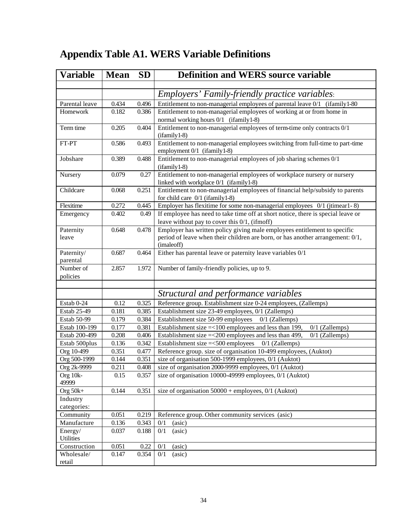# **Appendix Table A1. WERS Variable Definitions**

| <b>Variable</b>        | <b>Mean</b> | <b>SD</b> | <b>Definition and WERS source variable</b>                                                                        |
|------------------------|-------------|-----------|-------------------------------------------------------------------------------------------------------------------|
|                        |             |           |                                                                                                                   |
|                        |             |           | <i>Employers' Family-friendly practice variables:</i>                                                             |
| Parental leave         | 0.434       | 0.496     | Entitlement to non-managerial employees of parental leave 0/1 (ifamily 1-80)                                      |
| Homework               | 0.182       | 0.386     | Entitlement to non-managerial employees of working at or from home in                                             |
|                        |             |           | normal working hours 0/1 (ifamily 1-8)                                                                            |
| Term time              | 0.205       | 0.404     | Entitlement to non-managerial employees of term-time only contracts 0/1                                           |
|                        |             |           | $(ifamily 1-8)$                                                                                                   |
| FT-PT                  | 0.586       | 0.493     | Entitlement to non-managerial employees switching from full-time to part-time<br>employment 0/1 (ifamily 1-8)     |
| Jobshare               | 0.389       | 0.488     | Entitlement to non-managerial employees of job sharing schemes 0/1                                                |
|                        |             |           | $(ifamily 1-8)$                                                                                                   |
| Nursery                | 0.079       | 0.27      | Entitlement to non-managerial employees of workplace nursery or nursery<br>linked with workplace 0/1 (ifamily1-8) |
| Childcare              | 0.068       | 0.251     | Entitlement to non-managerial employees of financial help/subsidy to parents                                      |
|                        |             |           | for child care 0/1 (ifamily 1-8)                                                                                  |
| Flexitime              | 0.272       | 0.445     | Employer has flexitime for some non-managerial employees $0/1$ (jtimear1-8)                                       |
| Emergency              | 0.402       | 0.49      | If employee has need to take time off at short notice, there is special leave or                                  |
|                        |             |           | leave without pay to cover this $0/1$ , (if moff)                                                                 |
| Paternity              | 0.648       | 0.478     | Employer has written policy giving male employees entitlement to specific                                         |
| leave                  |             |           | period of leave when their children are born, or has another arrangement: 0/1,                                    |
|                        |             |           | (imaleoff)                                                                                                        |
| Paternity/<br>parental | 0.687       | 0.464     | Either has parental leave or paternity leave variables 0/1                                                        |
| Number of              | 2.857       | 1.972     | Number of family-friendly policies, up to 9.                                                                      |
| policies               |             |           |                                                                                                                   |
|                        |             |           |                                                                                                                   |
|                        |             |           | Structural and performance variables                                                                              |
| Estab 0-24             | 0.12        | 0.325     | Reference group. Establishment size 0-24 employees, (Zallemps)                                                    |
| Estab 25-49            | 0.181       | 0.385     | Establishment size 23-49 employees, 0/1 (Zallemps)                                                                |
| Estab 50-99            | 0.179       | 0.384     | Establishment size 50-99 employees<br>$0/1$ (Zallemps)                                                            |
| Estab 100-199          | 0.177       | 0.381     | Establishment size $=<100$ employees and less than 199,<br>$0/1$ (Zallemps)                                       |
| Estab 200-499          | 0.208       | 0.406     | Establishment size = < 200 employees and less than 499,<br>$0/1$ (Zallemps)                                       |
| Estab 500plus          | 0.136       | 0.342     | Establishment size $=<500$ employees<br>$0/1$ (Zallemps)                                                          |
| Org 10-499             | 0.351       | 0.477     | Reference group. size of organisation 10-499 employees, (Auktot)                                                  |
| Org 500-1999           | 0.144       | 0.351     | size of organisation 500-1999 employees, 0/1 (Auktot)                                                             |
| Org 2k-9999            | 0.211       | 0.408     | size of organisation 2000-9999 employees, 0/1 (Auktot)                                                            |
| Org 10k-               | 0.15        | 0.357     | size of organisation 10000-49999 employees, 0/1 (Auktot)                                                          |
| 49999<br>Org $50k+$    | 0.144       | 0.351     | size of organisation $50000 +$ employees, $0/1$ (Auktot)                                                          |
| Industry               |             |           |                                                                                                                   |
| categories:            |             |           |                                                                                                                   |
| Community              | 0.051       | 0.219     | Reference group. Other community services (asic)                                                                  |
| Manufacture            | 0.136       | 0.343     | 0/1<br>(asic)                                                                                                     |
| Energy/                | 0.037       | 0.188     | (asic)<br>0/1                                                                                                     |
| Utilities              |             |           |                                                                                                                   |
| Construction           | 0.051       | 0.22      | 0/1<br>(asic)                                                                                                     |
| Wholesale/             | 0.147       | 0.354     | 0/1<br>(asic)                                                                                                     |
| retail                 |             |           |                                                                                                                   |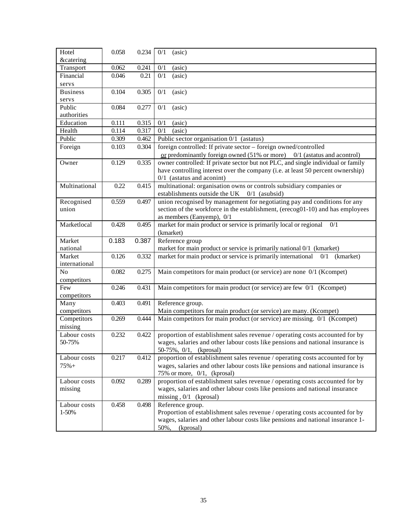| Hotel                           | 0.058 | 0.234 | (asic)<br>0/1                                                                                                 |
|---------------------------------|-------|-------|---------------------------------------------------------------------------------------------------------------|
| <b>&amp;catering</b>            | 0.062 | 0.241 | 0/1<br>(asic)                                                                                                 |
| Transport<br>Financial          | 0.046 | 0.21  | 0/1<br>(a <sub>sic</sub> )                                                                                    |
|                                 |       |       |                                                                                                               |
| servs<br><b>Business</b>        | 0.104 | 0.305 |                                                                                                               |
| servs                           |       |       | 0/1<br>(asic)                                                                                                 |
| Public                          | 0.084 | 0.277 | 0/1<br>(asic)                                                                                                 |
| authorities                     |       |       |                                                                                                               |
| Education                       | 0.111 | 0.315 | 0/1<br>(asic)                                                                                                 |
| Health                          | 0.114 | 0.317 | 0/1<br>(a <sub>sic</sub> )                                                                                    |
| Public                          | 0.309 | 0.462 | Public sector organisation 0/1 (astatus)                                                                      |
| Foreign                         | 0.103 | 0.304 | foreign controlled: If private sector - foreign owned/controlled                                              |
|                                 |       |       | or predominantly foreign owned $(51\% \text{ or more})$ 0/1 (astatus and acontrol)                            |
| Owner                           | 0.129 | 0.335 | owner controlled: If private sector but not PLC, and single individual or family                              |
|                                 |       |       | have controlling interest over the company (i.e. at least 50 percent ownership)                               |
|                                 |       |       | $0/1$ (astatus and aconint)                                                                                   |
| Multinational                   | 0.22  | 0.415 | multinational: organisation owns or controls subsidiary companies or                                          |
|                                 |       |       | establishments outside the UK 0/1 (asubsid)                                                                   |
| Recognised                      | 0.559 | 0.497 | union recognised by management for negotiating pay and conditions for any                                     |
| union                           |       |       | section of the workforce in the establishment, (erecog01-10) and has employees                                |
|                                 |       |       | as members (Eanyemp), 0/1                                                                                     |
| Marketlocal                     | 0.428 | 0.495 | market for main product or service is primarily local or regional<br>0/1                                      |
|                                 |       |       | (kmarket)                                                                                                     |
| Market                          | 0.183 | 0.387 | Reference group                                                                                               |
| national                        |       |       | market for main product or service is primarily national 0/1 (kmarket)                                        |
| Market                          | 0.126 | 0.332 | market for main product or service is primarily international<br>$0/1$ (kmarket)                              |
|                                 |       |       |                                                                                                               |
|                                 |       |       |                                                                                                               |
| international<br>N <sub>o</sub> |       |       |                                                                                                               |
|                                 | 0.082 | 0.275 | Main competitors for main product (or service) are none 0/1 (Kcompet)                                         |
| competitors                     |       |       |                                                                                                               |
| Few                             | 0.246 | 0.431 | Main competitors for main product (or service) are few 0/1 (Kcompet)                                          |
| competitors                     |       |       |                                                                                                               |
| Many                            | 0.403 | 0.491 | Reference group.                                                                                              |
| competitors                     | 0.269 | 0.444 | Main competitors for main product (or service) are many. (Kcompet)                                            |
| Competitors                     |       |       | Main competitors for main product (or service) are missing. 0/1 (Kcompet)                                     |
| missing                         |       |       |                                                                                                               |
| Labour costs<br>50-75%          | 0.232 | 0.422 | proportion of establishment sales revenue / operating costs accounted for by                                  |
|                                 |       |       | wages, salaries and other labour costs like pensions and national insurance is<br>50-75%, 0/1, (kprosal)      |
| Labour costs                    | 0.217 | 0.412 |                                                                                                               |
| $75% +$                         |       |       | proportion of establishment sales revenue / operating costs accounted for by                                  |
|                                 |       |       | wages, salaries and other labour costs like pensions and national insurance is<br>75% or more, 0/1, (kprosal) |
| Labour costs                    | 0.092 | 0.289 | proportion of establishment sales revenue / operating costs accounted for by                                  |
| missing                         |       |       | wages, salaries and other labour costs like pensions and national insurance                                   |
|                                 |       |       | missing, $0/1$ (kprosal)                                                                                      |
| Labour costs                    | 0.458 | 0.498 | Reference group.                                                                                              |
| 1-50%                           |       |       | Proportion of establishment sales revenue / operating costs accounted for by                                  |
|                                 |       |       | wages, salaries and other labour costs like pensions and national insurance 1-                                |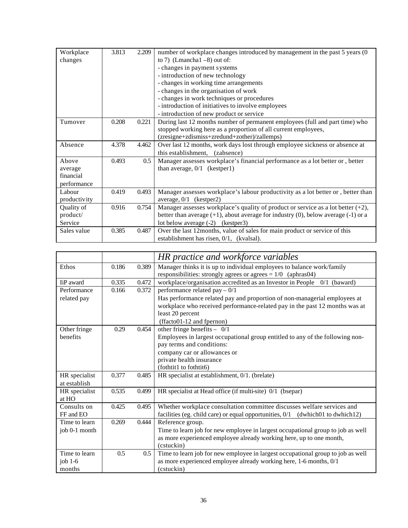| Workplace    | 3.813 | 2.209 | number of workplace changes introduced by management in the past 5 years (0               |
|--------------|-------|-------|-------------------------------------------------------------------------------------------|
| changes      |       |       | to 7) (Lmancha $1 - 8$ ) out of:                                                          |
|              |       |       | - changes in payment systems                                                              |
|              |       |       | - introduction of new technology                                                          |
|              |       |       | - changes in working time arrangements                                                    |
|              |       |       | - changes in the organisation of work                                                     |
|              |       |       | - changes in work techniques or procedures                                                |
|              |       |       | - introduction of initiatives to involve employees                                        |
|              |       |       | - introduction of new product or service                                                  |
| Turnover     | 0.208 | 0.221 | During last 12 months number of permanent employees (full and part time) who              |
|              |       |       | stopped working here as a proportion of all current employees,                            |
|              |       |       | (zresigne+zdismiss+zredund+zother)/zallemps)                                              |
| Absence      | 4.378 | 4.462 | Over last 12 months, work days lost through employee sickness or absence at               |
|              |       |       | this establishment. (zabsence)                                                            |
| Above        | 0.493 | 0.5   | Manager assesses workplace's financial performance as a lot better or, better             |
| average      |       |       | than average, $0/1$ (kestper1)                                                            |
| financial    |       |       |                                                                                           |
| performance  |       |       |                                                                                           |
| Labour       | 0.419 | 0.493 | Manager assesses workplace's labour productivity as a lot better or, better than          |
| productivity |       |       | average, $0/1$ (kestper2)                                                                 |
| Quality of   | 0.916 | 0.754 | Manager assesses workplace's quality of product or service as a lot better $(+2)$ ,       |
| product/     |       |       | better than average $(+1)$ , about average for industry $(0)$ , below average $(-1)$ or a |
| Service      |       |       | lot below average $(-2)$<br>(kestper3)                                                    |
| Sales value  | 0.385 | 0.487 | Over the last 12 months, value of sales for main product or service of this               |
|              |       |       | establishment has risen, $0/1$ , (kvalsal).                                               |

|                  |       |       | HR practice and workforce variables                                             |
|------------------|-------|-------|---------------------------------------------------------------------------------|
| Ethos            | 0.186 | 0.389 | Manager thinks it is up to individual employees to balance work/family          |
|                  |       |       | responsibilities: strongly agrees or agrees $= 1/0$ (aphras04)                  |
| <b>IiP</b> award | 0.335 | 0.472 | workplace/organisation accredited as an Investor in People 0/1 (baward)         |
| Performance      | 0.166 | 0.372 | performance related pay $-0/1$                                                  |
| related pay      |       |       | Has performance related pay and proportion of non-managerial employees at       |
|                  |       |       | workplace who received performance-related pay in the past 12 months was at     |
|                  |       |       | least 20 percent                                                                |
|                  |       |       | (ffacto01-12 and fpernon)                                                       |
| Other fringe     | 0.29  | 0.454 | other fringe benefits $- 0/1$                                                   |
| benefits         |       |       | Employees in largest occupational group entitled to any of the following non-   |
|                  |       |       | pay terms and conditions:                                                       |
|                  |       |       | company car or allowances or                                                    |
|                  |       |       | private health insurance                                                        |
|                  |       |       | (fothtit1 to fothtit6)                                                          |
| HR specialist    | 0.377 | 0.485 | HR specialist at establishment, 0/1. (brelate)                                  |
| at establish     |       |       |                                                                                 |
| HR specialist    | 0.535 | 0.499 | HR specialist at Head office (if multi-site) 0/1 (bsepar)                       |
| at HO            |       |       |                                                                                 |
| Consults on      | 0.425 | 0.495 | Whether workplace consultation committee discusses welfare services and         |
| FF and EO        |       |       | facilities (eg. child care) or equal opportunities, 0/1 (dwhich01 to dwhich12)  |
| Time to learn    | 0.269 | 0.444 | Reference group.                                                                |
| job 0-1 month    |       |       | Time to learn job for new employee in largest occupational group to job as well |
|                  |       |       | as more experienced employee already working here, up to one month,             |
|                  |       |       | (cstuckin)                                                                      |
| Time to learn    | 0.5   | 0.5   | Time to learn job for new employee in largest occupational group to job as well |
| job $1-6$        |       |       | as more experienced employee already working here, 1-6 months, 0/1              |
| months           |       |       | (cstuckin)                                                                      |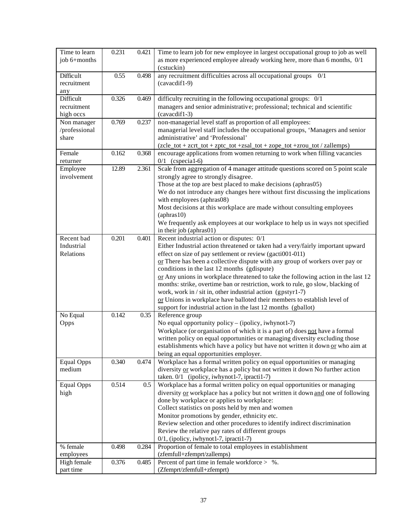| Time to learn     | 0.231 | 0.421 | Time to learn job for new employee in largest occupational group to job as well   |
|-------------------|-------|-------|-----------------------------------------------------------------------------------|
| job 6+months      |       |       | as more experienced employee already working here, more than 6 months, 0/1        |
|                   |       |       | (cstuckin)                                                                        |
| Difficult         | 0.55  | 0.498 | any recruitment difficulties across all occupational groups 0/1                   |
| recruitment       |       |       | (cavacdif1-9)                                                                     |
| any               |       |       |                                                                                   |
| Difficult         | 0.326 | 0.469 | difficulty recruiting in the following occupational groups: 0/1                   |
| recruitment       |       |       | managers and senior administrative; professional; technical and scientific        |
| high occs         |       |       | (cavacdif1-3)                                                                     |
| Non manager       | 0.769 | 0.237 | non-managerial level staff as proportion of all employees:                        |
| /professional     |       |       | managerial level staff includes the occupational groups, 'Managers and senior     |
| share             |       |       | administrative' and 'Professional'                                                |
|                   |       |       | (zcle_tot + zcrt_tot + zptc_tot +zsal_tot + zope_tot +zrou_tot / zallemps)        |
| Female            | 0.162 | 0.368 | encourage applications from women returning to work when filling vacancies        |
| returner          |       |       | $0/1$ (cspecial-6)                                                                |
| Employee          | 12.89 | 2.361 | Scale from aggregation of 4 manager attitude questions scored on 5 point scale    |
| involvement       |       |       | strongly agree to strongly disagree.                                              |
|                   |       |       | Those at the top are best placed to make decisions (aphras05)                     |
|                   |       |       | We do not introduce any changes here without first discussing the implications    |
|                   |       |       | with employees (aphras08)                                                         |
|                   |       |       | Most decisions at this workplace are made without consulting employees            |
|                   |       |       | $(\text{aphras}10)$                                                               |
|                   |       |       | We frequently ask employees at our workplace to help us in ways not specified     |
|                   |       |       | in their job (aphras01)                                                           |
| Recent bad        | 0.201 | 0.401 | Recent industrial action or disputes: 0/1                                         |
| Industrial        |       |       | Either Industrial action threatened or taken had a very/fairly important upward   |
| Relations         |       |       | effect on size of pay settlement or review (gacti001-011)                         |
|                   |       |       | or There has been a collective dispute with any group of workers over pay or      |
|                   |       |       | conditions in the last 12 months (gdispute)                                       |
|                   |       |       | or Any unions in workplace threatened to take the following action in the last 12 |
|                   |       |       | months: strike, overtime ban or restriction, work to rule, go slow, blacking of   |
|                   |       |       | work, work in / sit in, other industrial action (gpstyr1-7)                       |
|                   |       |       | or Unions in workplace have balloted their members to establish level of          |
|                   |       |       | support for industrial action in the last 12 months (gballot)                     |
| No Equal          | 0.142 | 0.35  | Reference group                                                                   |
| Opps              |       |       | No equal opportunity policy – (ipolicy, iwhynot1-7)                               |
|                   |       |       | Workplace (or organisation of which it is a part of) does not have a formal       |
|                   |       |       | written policy on equal opportunities or managing diversity excluding those       |
|                   |       |       | establishments which have a policy but have not written it down or who aim at     |
|                   |       |       | being an equal opportunities employer.                                            |
| <b>Equal Opps</b> | 0.340 | 0.474 | Workplace has a formal written policy on equal opportunities or managing          |
| medium            |       |       | diversity or workplace has a policy but not written it down No further action     |
|                   |       |       | taken. 0/1 (ipolicy, iwhynot1-7, ipracti1-7)                                      |
| <b>Equal Opps</b> | 0.514 | 0.5   | Workplace has a formal written policy on equal opportunities or managing          |
| high              |       |       | diversity or workplace has a policy but not written it down and one of following  |
|                   |       |       | done by workplace or applies to workplace:                                        |
|                   |       |       | Collect statistics on posts held by men and women                                 |
|                   |       |       | Monitor promotions by gender, ethnicity etc.                                      |
|                   |       |       | Review selection and other procedures to identify indirect discrimination         |
|                   |       |       | Review the relative pay rates of different groups                                 |
|                   |       |       | 0/1, (ipolicy, iwhynot1-7, ipracti1-7)                                            |
| % female          | 0.498 | 0.284 | Proportion of female to total employees in establishment                          |
| employees         |       |       | (zfemfull+zfemprt/zallemps)                                                       |
| High female       | 0.376 | 0.485 | Percent of part time in female workforce $>$ %.                                   |
| part time         |       |       | (Zfemprt/zfemfull+zfemprt)                                                        |
|                   |       |       |                                                                                   |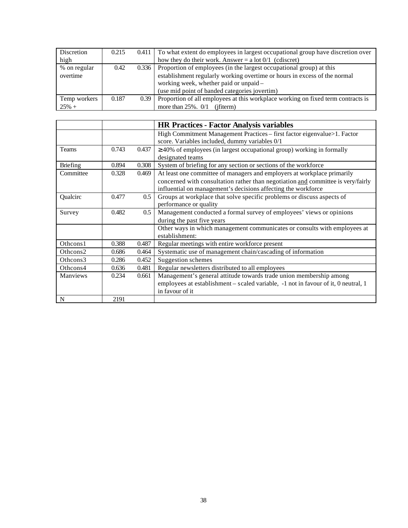| Discretion   | 0.215 | 0.411 | To what extent do employees in largest occupational group have discretion over   |
|--------------|-------|-------|----------------------------------------------------------------------------------|
| high         |       |       | how they do their work. Answer = a lot $0/1$ (cdiscret)                          |
| % on regular | 0.42  | 0.336 | Proportion of employees (in the largest occupational group) at this              |
| overtime     |       |       | establishment regularly working overtime or hours in excess of the normal        |
|              |       |       | working week, whether paid or unpaid -                                           |
|              |       |       | (use mid point of banded categories jovertim)                                    |
| Temp workers | 0.187 | 0.39  | Proportion of all employees at this workplace working on fixed term contracts is |
| $25% +$      |       |       | more than $25\%$ . $0/1$<br>(ifiterm)                                            |

|                 |       |       | <b>HR Practices - Factor Analysis variables</b>                                                                                                                                                                              |
|-----------------|-------|-------|------------------------------------------------------------------------------------------------------------------------------------------------------------------------------------------------------------------------------|
|                 |       |       | High Commitment Management Practices - first factor eigenvalue>1. Factor<br>score. Variables included, dummy variables 0/1                                                                                                   |
| <b>Teams</b>    | 0.743 | 0.437 | $\geq$ 40% of employees (in largest occupational group) working in formally<br>designated teams                                                                                                                              |
| <b>Briefing</b> | 0.894 | 0.308 | System of briefing for any section or sections of the workforce                                                                                                                                                              |
| Committee       | 0.328 | 0.469 | At least one committee of managers and employers at workplace primarily<br>concerned with consultation rather than negotiation and committee is very/fairly<br>influential on management's decisions affecting the workforce |
| Qualcirc        | 0.477 | 0.5   | Groups at workplace that solve specific problems or discuss aspects of<br>performance or quality                                                                                                                             |
| Survey          | 0.482 | 0.5   | Management conducted a formal survey of employees' views or opinions<br>during the past five years                                                                                                                           |
|                 |       |       | Other ways in which management communicates or consults with employees at<br>establishment:                                                                                                                                  |
| Othcons1        | 0.388 | 0.487 | Regular meetings with entire workforce present                                                                                                                                                                               |
| Othcons2        | 0.686 | 0.464 | Systematic use of management chain/cascading of information                                                                                                                                                                  |
| Othcons3        | 0.286 | 0.452 | Suggestion schemes                                                                                                                                                                                                           |
| Othcons4        | 0.636 | 0.481 | Regular newsletters distributed to all employees                                                                                                                                                                             |
| Manviews        | 0.234 | 0.661 | Management's general attitude towards trade union membership among<br>employees at establishment – scaled variable, -1 not in favour of it, 0 neutral, 1<br>in favour of it                                                  |
| N               | 2191  |       |                                                                                                                                                                                                                              |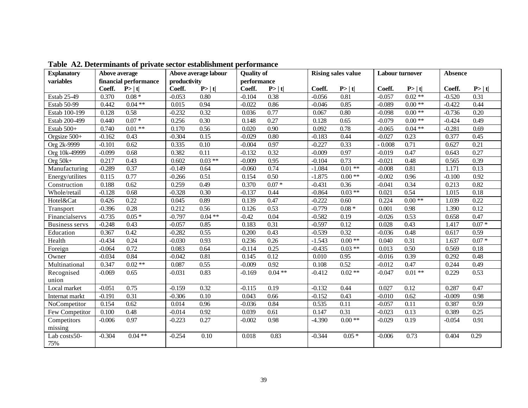| <b>Explanatory</b>    | Above average |                       |              | Above average labour | <b>Quality of</b> |                   |          | <b>Rising sales value</b> | <b>Labour turnover</b> |          | Absence  |          |
|-----------------------|---------------|-----------------------|--------------|----------------------|-------------------|-------------------|----------|---------------------------|------------------------|----------|----------|----------|
| variables             |               | financial performance | productivity |                      | performance       |                   |          |                           |                        |          |          |          |
|                       | Coeff.        | P >  t                | Coeff.       | P >  t               | Coeff.            | P >  t            | Coeff.   | P >  t                    | Coeff.                 | P >  t   | Coeff.   | P >  t   |
| Estab 25-49           | 0.370         | $0.08 *$              | $-0.053$     | 0.80                 | $-0.104$          | 0.38              | $-0.056$ | 0.81                      | $-0.057$               | $0.02**$ | $-0.520$ | 0.31     |
| Estab 50-99           | 0.442         | $0.04**$              | 0.015        | 0.94                 | $-0.022$          | 0.86              | $-0.046$ | 0.85                      | $-0.089$               | $0.00**$ | $-0.422$ | 0.44     |
| Estab 100-199         | 0.128         | 0.58                  | $-0.232$     | 0.32                 | 0.036             | 0.77              | 0.067    | 0.80                      | $-0.098$               | $0.00**$ | $-0.736$ | 0.20     |
| Estab 200-499         | 0.440         | $0.07*$               | 0.256        | 0.30                 | 0.148             | 0.27              | 0.128    | 0.65                      | $-0.079$               | $0.00**$ | $-0.424$ | 0.49     |
| Estab 500+            | 0.740         | $0.01**$              | 0.170        | 0.56                 | 0.020             | $\overline{0.90}$ | 0.092    | 0.78                      | $-0.065$               | $0.04**$ | $-0.281$ | 0.69     |
| Orgsize 500+          | $-0.162$      | 0.43                  | $-0.304$     | 0.15                 | $-0.029$          | 0.80              | $-0.183$ | 0.44                      | $-0.027$               | 0.23     | 0.377    | 0.45     |
| Org 2k-9999           | $-0.101$      | 0.62                  | 0.335        | 0.10                 | $-0.004$          | 0.97              | $-0.227$ | 0.33                      | $-0.008$               | 0.71     | 0.627    | 0.21     |
| Org 10k-49999         | $-0.099$      | 0.68                  | 0.382        | 0.11                 | $-0.132$          | 0.32              | $-0.009$ | 0.97                      | $-0.019$               | 0.47     | 0.643    | 0.27     |
| Org $50k+$            | 0.217         | 0.43                  | 0.602        | $0.03**$             | $-0.009$          | 0.95              | $-0.104$ | 0.73                      | $-0.021$               | 0.48     | 0.565    | 0.39     |
| Manufacturing         | $-0.289$      | 0.37                  | $-0.149$     | 0.64                 | $-0.060$          | 0.74              | $-1.084$ | $0.01**$                  | $-0.008$               | 0.81     | 1.171    | 0.13     |
| Energy/utilites       | 0.115         | 0.77                  | $-0.266$     | 0.51                 | 0.154             | 0.50              | $-1.875$ | $0.00**$                  | $-0.002$               | 0.96     | $-0.100$ | 0.92     |
| Construction          | 0.188         | 0.62                  | 0.259        | 0.49                 | 0.370             | $0.07 *$          | $-0.431$ | 0.36                      | $-0.041$               | 0.34     | 0.213    | 0.82     |
| Whole/retail          | $-0.128$      | 0.68                  | $-0.328$     | 0.30                 | $-0.137$          | 0.44              | $-0.864$ | $0.03$ **                 | 0.021                  | 0.54     | 1.015    | 0.18     |
| Hotel&Cat             | 0.426         | 0.22                  | 0.045        | 0.89                 | 0.139             | 0.47              | $-0.222$ | 0.60                      | 0.224                  | $0.00**$ | 1.039    | 0.22     |
| Transport             | $-0.396$      | 0.28                  | 0.212        | 0.56                 | 0.126             | 0.53              | $-0.779$ | $0.08 *$                  | 0.001                  | 0.98     | 1.390    | 0.12     |
| Financialservs        | $-0.735$      | $0.05*$               | $-0.797$     | $0.04$ **            | $-0.42$           | 0.04              | $-0.582$ | 0.19                      | $-0.026$               | 0.53     | 0.658    | 0.47     |
| <b>Business servs</b> | $-0.248$      | 0.43                  | $-0.057$     | 0.85                 | 0.183             | 0.31              | $-0.597$ | 0.12                      | 0.028                  | 0.43     | 1.417    | $0.07 *$ |
| Education             | 0.367         | 0.42                  | $-0.282$     | 0.55                 | 0.200             | 0.43              | $-0.539$ | 0.32                      | $-0.036$               | 0.48     | 0.617    | 0.59     |
| Health                | $-0.434$      | 0.24                  | $-0.030$     | 0.93                 | 0.236             | 0.26              | $-1.543$ | $0.00\;**$                | 0.040                  | 0.31     | 1.637    | $0.07 *$ |
| Foreign               | $-0.064$      | 0.72                  | 0.083        | 0.64                 | $-0.114$          | 0.25              | $-0.435$ | $0.03**$                  | 0.013                  | 0.50     | 0.569    | 0.18     |
| Owner                 | $-0.034$      | 0.84                  | $-0.042$     | 0.81                 | 0.145             | 0.12              | 0.010    | 0.95                      | $-0.016$               | 0.39     | 0.292    | 0.48     |
| Multinational         | 0.347         | $0.02**$              | 0.087        | 0.55                 | $-0.009$          | 0.92              | 0.108    | 0.52                      | $-0.012$               | 0.47     | 0.244    | 0.49     |
| Recognised            | $-0.069$      | 0.65                  | $-0.031$     | 0.83                 | $-0.169$          | $0.04$ **         | $-0.412$ | $0.02**$                  | $-0.047$               | $0.01**$ | 0.229    | 0.53     |
| union                 |               |                       |              |                      |                   |                   |          |                           |                        |          |          |          |
| Local market          | $-0.051$      | 0.75                  | $-0.159$     | 0.32                 | $-0.115$          | 0.19              | $-0.132$ | 0.44                      | 0.027                  | 0.12     | 0.287    | 0.47     |
| Internat markt        | $-0.191$      | 0.31                  | $-0.306$     | 0.10                 | 0.043             | 0.66              | $-0.152$ | 0.43                      | $-0.010$               | 0.62     | $-0.009$ | 0.98     |
| NoCompetitor          | 0.154         | 0.62                  | 0.014        | 0.96                 | $-0.036$          | 0.84              | 0.535    | 0.11                      | $-0.057$               | 0.11     | 0.387    | 0.59     |
| Few Competitor        | 0.100         | 0.48                  | $-0.014$     | 0.92                 | 0.039             | 0.61              | 0.147    | 0.31                      | $-0.023$               | 0.13     | 0.389    | 0.25     |
| Competitors           | $-0.006$      | 0.97                  | $-0.223$     | 0.27                 | $-0.002$          | 0.98              | $-4.390$ | $0.00**$                  | $-0.029$               | 0.19     | $-0.054$ | 0.91     |
| missing               |               |                       |              |                      |                   |                   |          |                           |                        |          |          |          |
| Lab costs50-<br>75%   | $-0.304$      | $0.04**$              | $-0.254$     | 0.10                 | 0.018             | 0.83              | $-0.344$ | $0.05*$                   | $-0.006$               | 0.73     | 0.404    | 0.29     |

**Table A2. Determinants of private sector establishment performance**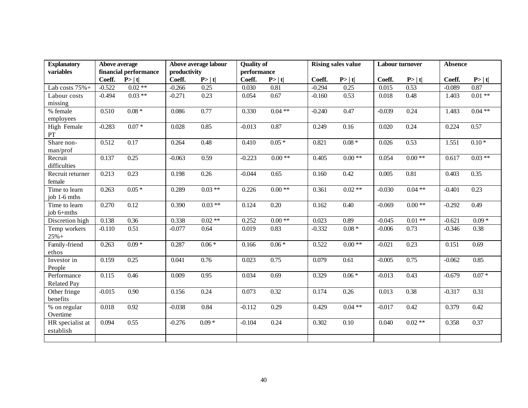| <b>Explanatory</b> | Above average |                       |              | Above average labour | <b>Quality of</b> |          |          | <b>Rising sales value</b> | <b>Labour turnover</b> |          | <b>Absence</b> |          |
|--------------------|---------------|-----------------------|--------------|----------------------|-------------------|----------|----------|---------------------------|------------------------|----------|----------------|----------|
| variables          |               | financial performance | productivity |                      | performance       |          |          |                           |                        |          |                |          |
|                    | Coeff.        | P >  t                | Coeff.       | P >  t               | Coeff.            | P >  t   | Coeff.   | P >  t                    | Coeff.                 | P> t     | Coeff.         | P >  t   |
| Lab costs $75% +$  | $-0.522$      | $0.02**$              | $-0.266$     | 0.25                 | 0.030             | 0.81     | $-0.294$ | 0.25                      | 0.015                  | 0.53     | $-0.089$       | 0.87     |
| Labour costs       | $-0.494$      | $0.03**$              | $-0.271$     | 0.23                 | 0.054             | 0.67     | $-0.160$ | 0.53                      | 0.018                  | 0.48     | 1.403          | $0.01**$ |
| missing            |               |                       |              |                      |                   |          |          |                           |                        |          |                |          |
| % female           | 0.510         | $0.08 *$              | 0.086        | 0.77                 | 0.330             | $0.04**$ | $-0.240$ | 0.47                      | $-0.039$               | 0.24     | 1.483          | $0.04**$ |
| employees          |               |                       |              |                      |                   |          |          |                           |                        |          |                |          |
| High Female        | $-0.283$      | $0.07*$               | 0.028        | 0.85                 | $-0.013$          | 0.87     | 0.249    | 0.16                      | 0.020                  | 0.24     | 0.224          | 0.57     |
| $\mathbf{PT}$      |               |                       |              |                      |                   |          |          |                           |                        |          |                |          |
| Share non-         | 0.512         | 0.17                  | 0.264        | 0.48                 | 0.410             | $0.05*$  | 0.821    | $0.08\; *$                | 0.026                  | 0.53     | 1.551          | $0.10*$  |
| man/prof           |               |                       |              |                      |                   |          |          |                           |                        |          |                |          |
| Recruit            | 0.137         | 0.25                  | $-0.063$     | 0.59                 | $-0.223$          | $0.00**$ | 0.405    | $0.00**$                  | 0.054                  | $0.00**$ | 0.617          | $0.03**$ |
| difficulties       |               |                       |              |                      |                   |          |          |                           |                        |          |                |          |
| Recruit returner   | 0.213         | 0.23                  | 0.198        | 0.26                 | $-0.044$          | 0.65     | 0.160    | 0.42                      | 0.005                  | 0.81     | 0.403          | 0.35     |
| female             |               |                       |              |                      |                   |          |          |                           |                        |          |                |          |
| Time to learn      | 0.263         | $0.05*$               | 0.289        | $0.03**$             | 0.226             | $0.00**$ | 0.361    | $0.02**$                  | $-0.030$               | $0.04**$ | $-0.401$       | 0.23     |
| job 1-6 mths       |               |                       |              |                      |                   |          |          |                           |                        |          |                |          |
| Time to learn      | 0.270         | 0.12                  | 0.390        | $0.03**$             | 0.124             | 0.20     | 0.162    | 0.40                      | $-0.069$               | $0.00**$ | $-0.292$       | 0.49     |
| job 6+mths         |               |                       |              |                      |                   |          |          |                           |                        |          |                |          |
| Discretion high    | 0.138         | 0.36                  | 0.338        | $0.02**$             | 0.252             | $0.00**$ | 0.023    | 0.89                      | $-0.045$               | $0.01**$ | $-0.621$       | $0.09*$  |
| Temp workers       | $-0.110$      | 0.51                  | $-0.077$     | 0.64                 | 0.019             | 0.83     | $-0.332$ | $0.08 *$                  | $-0.006$               | 0.73     | $-0.346$       | 0.38     |
| $25% +$            |               |                       |              |                      |                   |          |          |                           |                        |          |                |          |
| Family-friend      | 0.263         | $0.09*$               | 0.287        | $0.06 *$             | 0.166             | $0.06 *$ | 0.522    | $0.00\;**$                | $-0.021$               | 0.23     | 0.151          | 0.69     |
| ethos              |               |                       |              |                      |                   |          |          |                           |                        |          |                |          |
| Investor in        | 0.159         | 0.25                  | 0.041        | 0.76                 | 0.023             | 0.75     | 0.079    | 0.61                      | $-0.005$               | 0.75     | $-0.062$       | 0.85     |
| People             |               |                       |              |                      |                   |          |          |                           |                        |          |                |          |
| Performance        | 0.115         | 0.46                  | 0.009        | 0.95                 | 0.034             | 0.69     | 0.329    | $0.06*$                   | $-0.013$               | 0.43     | $-0.679$       | $0.07 *$ |
| <b>Related Pay</b> |               |                       |              |                      |                   |          |          |                           |                        |          |                |          |
| Other fringe       | $-0.015$      | 0.90                  | 0.156        | 0.24                 | 0.073             | 0.32     | 0.174    | 0.26                      | 0.013                  | 0.38     | $-0.317$       | 0.31     |
| benefits           |               |                       |              |                      |                   |          |          |                           |                        |          |                |          |
| % on regular       | 0.018         | 0.92                  | $-0.038$     | 0.84                 | $-0.112$          | 0.29     | 0.429    | $0.04**$                  | $-0.017$               | 0.42     | 0.379          | 0.42     |
| Overtime           |               |                       |              |                      |                   |          |          |                           |                        |          |                |          |
| HR specialist at   | 0.094         | 0.55                  | $-0.276$     | $0.09 *$             | $-0.104$          | 0.24     | 0.302    | 0.10                      | 0.040                  | $0.02**$ | 0.358          | 0.37     |
| establish          |               |                       |              |                      |                   |          |          |                           |                        |          |                |          |
|                    |               |                       |              |                      |                   |          |          |                           |                        |          |                |          |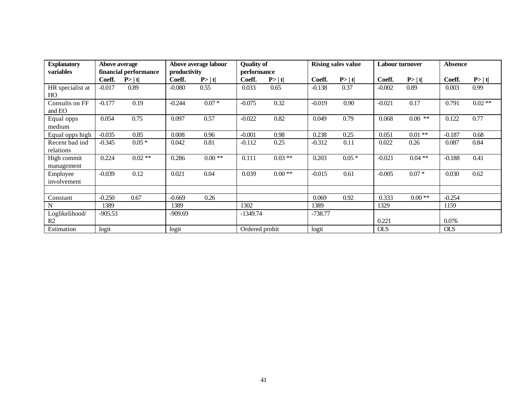| <b>Explanatory</b>               | <b>Above average</b> |                       |              | Above average labour | <b>Quality of</b> |          |           | <b>Rising sales value</b> | <b>Labour turnover</b> |           | <b>Absence</b> |          |
|----------------------------------|----------------------|-----------------------|--------------|----------------------|-------------------|----------|-----------|---------------------------|------------------------|-----------|----------------|----------|
| variables                        |                      | financial performance | productivity |                      | performance       |          |           |                           |                        |           |                |          |
|                                  | Coeff.               | P> t                  | Coeff.       | P> t                 | Coeff.            | P >  t   | Coeff.    | P> t                      | Coeff.                 | P> t      | Coeff.         | P >  t   |
| HR specialist at<br>HO           | $-0.017$             | 0.89                  | $-0.080$     | 0.55                 | 0.033             | 0.65     | $-0.138$  | 0.37                      | $-0.002$               | 0.89      | 0.003          | 0.99     |
| Consults on FF<br>and EO         | $-0.177$             | 0.19                  | $-0.244$     | $0.07 *$             | $-0.075$          | 0.32     | $-0.019$  | 0.90                      | $-0.021$               | 0.17      | 0.791          | $0.02**$ |
| Equal opps<br>medium             | 0.054                | 0.75                  | 0.097        | 0.57                 | $-0.022$          | 0.82     | 0.049     | 0.79                      | 0.068                  | $0.00$ ** | 0.122          | 0.77     |
| Equal opps high                  | $-0.035$             | 0.85                  | 0.008        | 0.96                 | $-0.001$          | 0.98     | 0.238     | 0.25                      | 0.051                  | $0.01**$  | $-0.187$       | 0.68     |
| Recent bad ind<br>relations      | $-0.345$             | $0.05*$               | 0.042        | 0.81                 | $-0.112$          | 0.25     | $-0.312$  | 0.11                      | 0.022                  | 0.26      | 0.087          | 0.84     |
| High commit<br>management        | 0.224                | $0.02**$              | 0.286        | $0.00**$             | 0.111             | $0.03**$ | 0.203     | $0.05*$                   | $-0.021$               | $0.04**$  | $-0.188$       | 0.41     |
| Employee<br>involvement          | $-0.039$             | 0.12                  | 0.021        | 0.04                 | 0.039             | $0.00**$ | $-0.015$  | 0.61                      | $-0.005$               | $0.07 *$  | 0.030          | 0.62     |
| Constant                         | $-0.250$             | 0.67                  | $-0.669$     | 0.26                 |                   |          | 0.069     | 0.92                      | 0.333                  | $0.00**$  | $-0.254$       |          |
| N                                | 1389                 |                       | 1389         |                      | 1302              |          | 1389      |                           | 1329                   |           | 1159           |          |
| Loglikelihood/<br>R <sub>2</sub> | $-905.53$            |                       | $-909.69$    |                      | $-1349.74$        |          | $-738.77$ |                           | 0.221                  |           | 0.076          |          |
| Estimation                       | logit                |                       | logit        |                      | Ordered probit    |          | logit     |                           | <b>OLS</b>             |           | <b>OLS</b>     |          |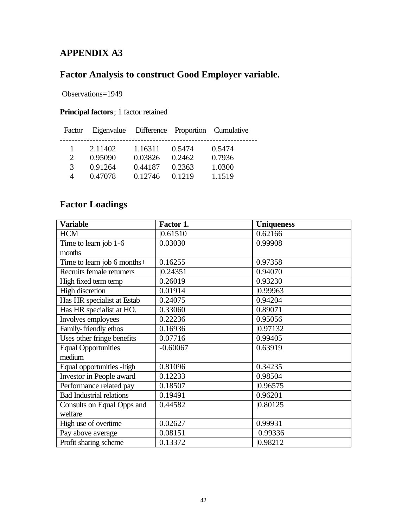## **APPENDIX A3**

## **Factor Analysis to construct Good Employer variable.**

Observations=1949

## **Principal factors**; 1 factor retained

| Factor                      | Eigenvalue Difference Proportion Cumulative |         |        |        |  |
|-----------------------------|---------------------------------------------|---------|--------|--------|--|
|                             | 2.11402                                     | 1.16311 | 0.5474 | 0.5474 |  |
| $\mathcal{D}_{\mathcal{L}}$ | 0.95090                                     | 0.03826 | 0.2462 | 0.7936 |  |
| $\mathcal{F}$               | 0.91264                                     | 0.44187 | 0.2363 | 1.0300 |  |
| $\overline{4}$              | 0.47078                                     | 0.12746 | 0.1219 | 1.1519 |  |

## **Factor Loadings**

| <b>Variable</b>                 | Factor 1.  | <b>Uniqueness</b> |  |
|---------------------------------|------------|-------------------|--|
| <b>HCM</b>                      | 0.61510    | 0.62166           |  |
| Time to learn job 1-6           | 0.03030    | 0.99908           |  |
| months                          |            |                   |  |
| Time to learn job 6 months+     | 0.16255    | 0.97358           |  |
| Recruits female returners       | 0.24351    | 0.94070           |  |
| High fixed term temp            | 0.26019    | 0.93230           |  |
| <b>High discretion</b>          | 0.01914    | 0.99963           |  |
| Has HR specialist at Estab      | 0.24075    | 0.94204           |  |
| Has HR specialist at HO.        | 0.33060    | 0.89071           |  |
| Involves employees              | 0.22236    | 0.95056           |  |
| Family-friendly ethos           | 0.16936    | 0.97132           |  |
| Uses other fringe benefits      | 0.07716    | 0.99405           |  |
| <b>Equal Opportunities</b>      | $-0.60067$ | 0.63919           |  |
| medium                          |            |                   |  |
| Equal opportunities - high      | 0.81096    | 0.34235           |  |
| Investor in People award        | 0.12233    | 0.98504           |  |
| Performance related pay         | 0.18507    | 0.96575           |  |
| <b>Bad Industrial relations</b> | 0.19491    | 0.96201           |  |
| Consults on Equal Opps and      | 0.44582    | 0.80125           |  |
| welfare                         |            |                   |  |
| High use of overtime            | 0.02627    | 0.99931           |  |
| Pay above average               | 0.08151    | 0.99336           |  |
| Profit sharing scheme           | 0.13372    | 0.98212           |  |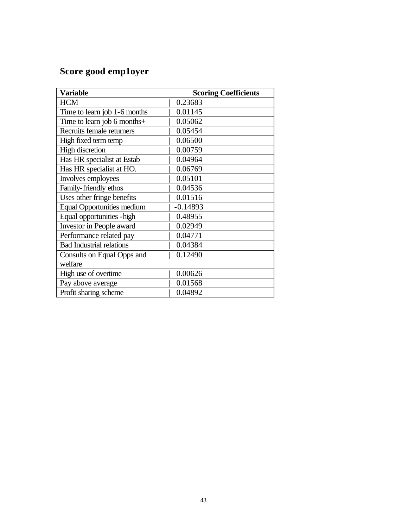# **Score good emp1oyer**

| <b>Variable</b>                   | <b>Scoring Coefficients</b> |
|-----------------------------------|-----------------------------|
| <b>HCM</b>                        | 0.23683                     |
| Time to learn job 1-6 months      | 0.01145                     |
| Time to learn job 6 months+       | 0.05062                     |
| Recruits female returners         | 0.05454                     |
| High fixed term temp              | 0.06500                     |
| <b>High discretion</b>            | 0.00759                     |
| Has HR specialist at Estab        | 0.04964                     |
| Has HR specialist at HO.          | 0.06769                     |
| Involves employees                | 0.05101                     |
| Family-friendly ethos             | 0.04536                     |
| Uses other fringe benefits        | 0.01516                     |
| <b>Equal Opportunities medium</b> | $-0.14893$                  |
| Equal opportunities - high        | 0.48955                     |
| Investor in People award          | 0.02949                     |
| Performance related pay           | 0.04771                     |
| <b>Bad Industrial relations</b>   | 0.04384                     |
| Consults on Equal Opps and        | 0.12490                     |
| welfare                           |                             |
| High use of overtime              | 0.00626                     |
| Pay above average                 | 0.01568                     |
| Profit sharing scheme             | 0.04892                     |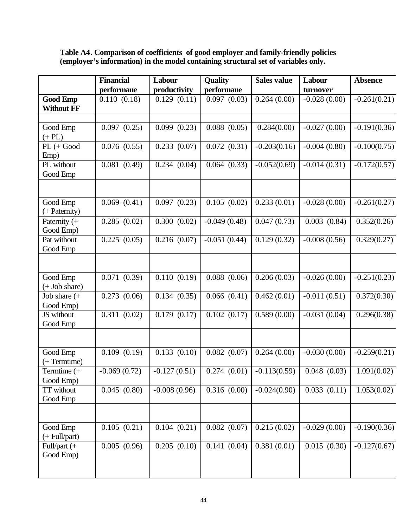| Table A4. Comparison of coefficients of good employer and family-friendly policies |  |
|------------------------------------------------------------------------------------|--|
| (employer's information) in the model containing structural set of variables only. |  |

|                                          | <b>Financial</b>          | Labour                    | <b>Quality</b> | <b>Sales value</b>        | Labour         | <b>Absence</b> |
|------------------------------------------|---------------------------|---------------------------|----------------|---------------------------|----------------|----------------|
|                                          | performane                | productivity              | performane     |                           | turnover       |                |
| <b>Good Emp</b><br><b>Without FF</b>     | 0.110(0.18)               | 0.129(0.11)               | 0.097(0.03)    | $\overline{0.264}$ (0.00) | $-0.028(0.00)$ | $-0.261(0.21)$ |
|                                          |                           |                           |                |                           |                |                |
| Good Emp<br>$(+$ PL $)$                  | 0.097(0.25)               | 0.099(0.23)               | 0.088(0.05)    | 0.284(0.00)               | $-0.027(0.00)$ | $-0.191(0.36)$ |
| $PL (+ Good)$<br>Emp)                    | 0.076(0.55)               | $\overline{0.233}$ (0.07) | 0.072(0.31)    | $-0.203(0.16)$            | $-0.004(0.80)$ | $-0.100(0.75)$ |
| PL without<br>Good Emp                   | 0.081(0.49)               | 0.234(0.04)               | 0.064(0.33)    | $-0.052(0.69)$            | $-0.014(0.31)$ | $-0.172(0.57)$ |
| Good Emp<br>(+ Paternity)                | $0.069$ $(0.41)$          | 0.097(0.23)               | 0.105(0.02)    | 0.233(0.01)               | $-0.028(0.00)$ | $-0.261(0.27)$ |
| Paternity (+<br>Good Emp)                | 0.285(0.02)               | 0.300(0.02)               | $-0.049(0.48)$ | 0.047(0.73)               | 0.003(0.84)    | 0.352(0.26)    |
| Pat without<br>Good Emp                  | 0.225(0.05)               | 0.216(0.07)               | $-0.051(0.44)$ | 0.129(0.32)               | $-0.008(0.56)$ | 0.329(0.27)    |
|                                          |                           |                           |                |                           |                |                |
| Good Emp<br>$(+$ Job share)              | 0.071(0.39)               | 0.110(0.19)               | 0.088(0.06)    | 0.206(0.03)               | $-0.026(0.00)$ | $-0.251(0.23)$ |
| Job share $(+)$<br>Good Emp)             | 0.273(0.06)               | 0.134(0.35)               | 0.066(0.41)    | 0.462(0.01)               | $-0.011(0.51)$ | 0.372(0.30)    |
| JS without<br>Good Emp                   | 0.311(0.02)               | 0.179(0.17)               | 0.102(0.17)    | 0.589(0.00)               | $-0.031(0.04)$ | 0.296(0.38)    |
| Good Emp                                 | 0.109(0.19)               | 0.133(0.10)               | 0.082(0.07)    | 0.264(0.00)               | $-0.030(0.00)$ | $-0.259(0.21)$ |
| (+ Termtime)<br>Termtime (+<br>Good Emp) | $-0.069(0.72)$            | $-0.127(0.51)$            | 0.274(0.01)    | $-0.113(0.59)$            | 0.048(0.03)    | 1.091(0.02)    |
| TT without<br>Good Emp                   | 0.045(0.80)               | $-0.008(0.96)$            | 0.316(0.00)    | $-0.024(0.90)$            | 0.033(0.11)    | 1.053(0.02)    |
|                                          |                           |                           |                |                           |                |                |
| Good Emp<br>$(+$ Full/part)              | 0.105(0.21)               | 0.104(0.21)               | 0.082(0.07)    | 0.215(0.02)               | $-0.029(0.00)$ | $-0.190(0.36)$ |
| Full/part (+<br>Good Emp)                | $\overline{0.005}$ (0.96) | 0.205(0.10)               | 0.141(0.04)    | 0.381(0.01)               | 0.015(0.30)    | $-0.127(0.67)$ |
|                                          |                           |                           |                |                           |                |                |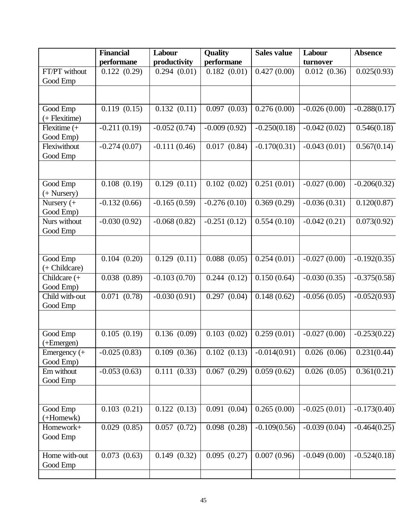|                            | <b>Financial</b> | Labour           | <b>Quality</b>            | <b>Sales value</b> | Labour         | <b>Absence</b>           |
|----------------------------|------------------|------------------|---------------------------|--------------------|----------------|--------------------------|
|                            | performane       | productivity     | performane                |                    | turnover       |                          |
| FT/PT without              | 0.122(0.29)      | 0.294(0.01)      | 0.182(0.01)               | 0.427(0.00)        | 0.012(0.36)    | 0.025(0.93)              |
| Good Emp                   |                  |                  |                           |                    |                |                          |
|                            |                  |                  |                           |                    |                |                          |
| Good Emp                   | 0.119(0.15)      | 0.132(0.11)      | $\overline{0.097}$ (0.03) | 0.276(0.00)        | $-0.026(0.00)$ | $-0.288(0.17)$           |
| (+ Flexitime)              |                  |                  |                           |                    |                |                          |
| Flexitime (+               | $-0.211(0.19)$   | $-0.052(0.74)$   | $-0.009(0.92)$            | $-0.250(0.18)$     | $-0.042(0.02)$ | 0.546(0.18)              |
| Good Emp)                  |                  |                  |                           |                    |                |                          |
| Flexiwithout               | $-0.274(0.07)$   | $-0.111(0.46)$   | 0.017(0.84)               | $-0.170(0.31)$     | $-0.043(0.01)$ | 0.567(0.14)              |
| Good Emp                   |                  |                  |                           |                    |                |                          |
|                            |                  |                  |                           |                    |                |                          |
| Good Emp                   | $0.108$ $(0.19)$ | 0.129(0.11)      | 0.102(0.02)               | 0.251(0.01)        | $-0.027(0.00)$ | $-0.206(0.32)$           |
| $(+$ Nursery $)$           |                  |                  |                           |                    |                |                          |
| Nursery $(+)$<br>Good Emp) | $-0.132(0.66)$   | $-0.165(0.59)$   | $-0.276(0.10)$            | 0.369(0.29)        | $-0.036(0.31)$ | 0.120(0.87)              |
| Nurs without               | $-0.030(0.92)$   | $-0.068(0.82)$   | $-0.251(0.12)$            | 0.554(0.10)        | $-0.042(0.21)$ | 0.073(0.92)              |
| Good Emp                   |                  |                  |                           |                    |                |                          |
|                            |                  |                  |                           |                    |                |                          |
| Good Emp                   | 0.104(0.20)      | 0.129(0.11)      | $\overline{0.088}$ (0.05) | 0.254(0.01)        | $-0.027(0.00)$ | $-0.192(0.35)$           |
| (+ Childcare)              |                  |                  |                           |                    |                |                          |
| Childcare (+               | 0.038(0.89)      | $-0.103(0.70)$   | 0.244(0.12)               | 0.150(0.64)        | $-0.030(0.35)$ | $-0.375(0.58)$           |
| Good Emp)                  |                  |                  |                           |                    |                |                          |
| Child with-out<br>Good Emp | 0.071(0.78)      | $-0.030(0.91)$   | 0.297(0.04)               | 0.148(0.62)        | $-0.056(0.05)$ | $-0.052(0.93)$           |
|                            |                  |                  |                           |                    |                |                          |
|                            |                  |                  |                           |                    |                |                          |
| Good Emp                   | 0.105(0.19)      | 0.136(0.09)      | $0.103$ $(0.02)$          | 0.259(0.01)        | $-0.027(0.00)$ | $-0.253(0.22)$           |
| $(+Emergen)$               |                  |                  |                           |                    |                |                          |
| Emergency $(+)$            | $-0.025(0.83)$   | $0.109$ $(0.36)$ | 0.102(0.13)               | $-0.014(0.91)$     | 0.026(0.06)    | 0.231(0.44)              |
| Good Emp)                  |                  |                  |                           |                    |                |                          |
| Em without                 | $-0.053(0.63)$   | 0.111(0.33)      | 0.067(0.29)               | 0.059(0.62)        | 0.026(0.05)    | $\overline{0.361(0.21)}$ |
| Good Emp                   |                  |                  |                           |                    |                |                          |
|                            |                  |                  |                           |                    |                |                          |
| Good Emp                   | 0.103(0.21)      | 0.122(0.13)      | 0.091(0.04)               | 0.265(0.00)        | $-0.025(0.01)$ | $-0.173(0.40)$           |
| (+Homewk)                  |                  |                  |                           |                    |                |                          |
| Homework+                  | 0.029(0.85)      | 0.057(0.72)      | 0.098(0.28)               | $-0.109(0.56)$     | $-0.039(0.04)$ | $-0.464(0.25)$           |
| Good Emp                   |                  |                  |                           |                    |                |                          |
|                            |                  |                  |                           |                    |                |                          |
| Home with-out              | 0.073(0.63)      | 0.149(0.32)      | 0.095(0.27)               | 0.007(0.96)        | $-0.049(0.00)$ | $-0.524(0.18)$           |
| Good Emp                   |                  |                  |                           |                    |                |                          |
|                            |                  |                  |                           |                    |                |                          |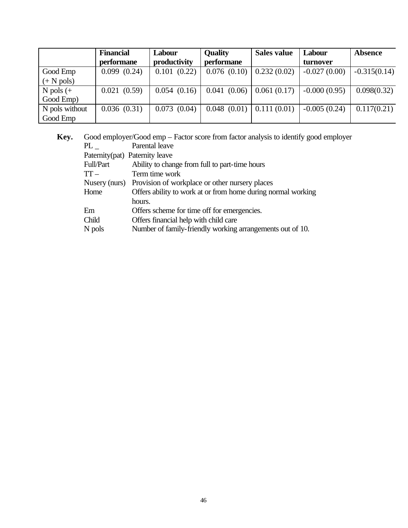|                      | <b>Financial</b> | Labour       | <b>Quality</b> | Sales value | Labour         | <b>Absence</b> |
|----------------------|------------------|--------------|----------------|-------------|----------------|----------------|
|                      | performane       | productivity | performane     |             | turnover       |                |
| Good Emp             | 0.099(0.24)      | 0.101(0.22)  | 0.076(0.10)    | 0.232(0.02) | $-0.027(0.00)$ | $-0.315(0.14)$ |
| $(+ N \text{ pols})$ |                  |              |                |             |                |                |
| N pols $(+)$         | 0.021(0.59)      | 0.054(0.16)  | 0.041(0.06)    | 0.061(0.17) | $-0.000(0.95)$ | 0.098(0.32)    |
| Good Emp)            |                  |              |                |             |                |                |
| N pols without       | 0.036(0.31)      | 0.073(0.04)  | 0.048(0.01)    | 0.111(0.01) | $-0.005(0.24)$ | 0.117(0.21)    |
| Good Emp             |                  |              |                |             |                |                |

 **Key.** Good employer/Good emp – Factor score from factor analysis to identify good employer PL \_ Parental leave Paternity(pat) Paternity leave Full/Part Ability to change from full to part-time hours TT – Term time work<br>Nusery (nurs) Provision of wor Provision of workplace or other nursery places Home Offers ability to work at or from home during normal working hours. Em Offers scheme for time off for emergencies. Child Offers financial help with child care<br>N pols Number of family-friendly working Number of family-friendly working arrangements out of 10.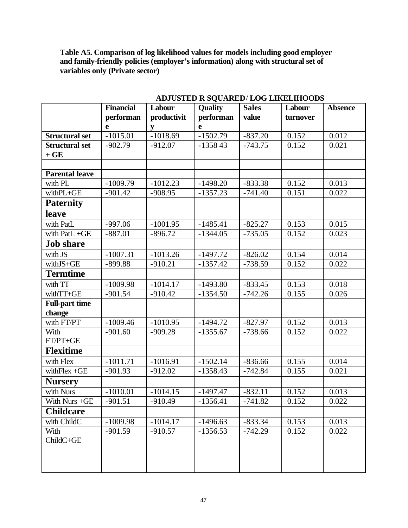**Table A5. Comparison of log likelihood values for models including good employer and family-friendly policies (employer's information) along with structural set of variables only (Private sector)**

|                       | <b>Financial</b> | Labour      | <b>Quality</b>        | <b>Sales</b> | Labour   | <b>Absence</b> |
|-----------------------|------------------|-------------|-----------------------|--------------|----------|----------------|
|                       | performan        | productivit | performan             | value        | turnover |                |
|                       | e                | y           | e                     |              |          |                |
| <b>Structural set</b> | $-1015.01$       | $-1018.69$  | $-1502.79$            | $-837.20$    | 0.152    | 0.012          |
| <b>Structural set</b> | $-902.79$        | $-912.07$   | $-135843$             | $-743.75$    | 0.152    | 0.021          |
| $+$ GE                |                  |             |                       |              |          |                |
|                       |                  |             |                       |              |          |                |
| <b>Parental leave</b> |                  |             |                       |              |          |                |
| with PL               | $-1009.79$       | $-1012.23$  | $-1498.20$            | $-833.38$    | 0.152    | 0.013          |
| withPL+GE             | $-901.42$        | $-908.95$   | $-1357.23$            | $-741.40$    | 0.151    | 0.022          |
| <b>Paternity</b>      |                  |             |                       |              |          |                |
| <b>leave</b>          |                  |             |                       |              |          |                |
| with PatL             | $-997.06$        | $-1001.95$  | $-1485.41$            | $-825.27$    | 0.153    | 0.015          |
| with PatL +GE         | $-887.01$        | $-896.72$   | $-1344.05$            | $-735.05$    | 0.152    | 0.023          |
| <b>Job share</b>      |                  |             |                       |              |          |                |
| with JS               | $-1007.31$       | $-1013.26$  | $-1497.72$            | $-826.02$    | 0.154    | 0.014          |
| withJS+GE             | $-899.88$        | $-910.21$   | $-1357.42$            | $-738.59$    | 0.152    | 0.022          |
| <b>Termtime</b>       |                  |             |                       |              |          |                |
| with $TT$             | $-1009.98$       | $-1014.17$  | $-1493.80$            | $-833.45$    | 0.153    | 0.018          |
| withTT+GE             | $-901.54$        | $-910.42$   | $-1354.50$            | $-742.26$    | 0.155    | 0.026          |
| <b>Full-part time</b> |                  |             |                       |              |          |                |
| change                |                  |             |                       |              |          |                |
| with FT/PT            | $-1009.46$       | $-1010.95$  | $-1494.72$            | $-827.97$    | 0.152    | 0.013          |
| With                  | $-901.60$        | $-909.28$   | $-1355.67$            | $-738.66$    | 0.152    | 0.022          |
| FT/PT+GE              |                  |             |                       |              |          |                |
| <b>Flexitime</b>      |                  |             |                       |              |          |                |
| with Flex             | $-1011.71$       | $-1016.91$  | $-1502.14$            | $-836.66$    | 0.155    | 0.014          |
| with $Flex + GE$      | $-901.93$        | $-912.02$   | $-1358.43$            | $-742.84$    | 0.155    | 0.021          |
| <b>Nursery</b>        |                  |             |                       |              |          |                |
| with Nurs             | $-1010.01$       | $-1014.15$  | $-1497.47$            | $-832.11$    | 0.152    | 0.013          |
| With Nurs +GE         | $-901.51$        | $-910.49$   | $-1356.\overline{41}$ | $-741.82$    | 0.152    | 0.022          |
| <b>Childcare</b>      |                  |             |                       |              |          |                |
| with ChildC           | $-1009.98$       | $-1014.17$  | $-1496.63$            | $-833.34$    | 0.153    | 0.013          |
| With                  | $-901.59$        | $-910.57$   | $-1356.53$            | $-742.29$    | 0.152    | 0.022          |
| ChildC+GE             |                  |             |                       |              |          |                |
|                       |                  |             |                       |              |          |                |
|                       |                  |             |                       |              |          |                |
|                       |                  |             |                       |              |          |                |

### **ADJUSTED R SQUARED**/ **LOG LIKELIHOODS**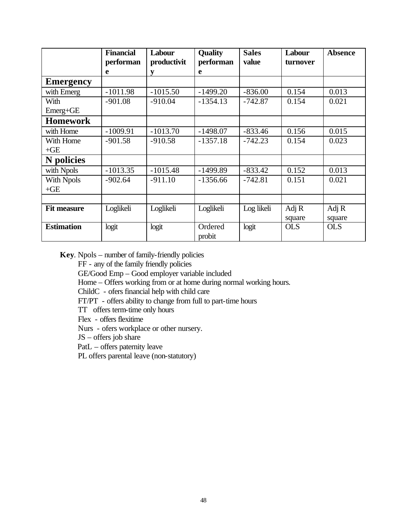|                    | <b>Financial</b><br>performan | Labour<br>productivit | <b>Quality</b><br>performan | <b>Sales</b><br>value | Labour<br>turnover | <b>Absence</b> |
|--------------------|-------------------------------|-----------------------|-----------------------------|-----------------------|--------------------|----------------|
|                    | e                             | y                     | e                           |                       |                    |                |
| <b>Emergency</b>   |                               |                       |                             |                       |                    |                |
| with Emerg         | $-1011.98$                    | $-1015.50$            | $-1499.20$                  | $-836.00$             | 0.154              | 0.013          |
| With               | $-901.08$                     | $-910.04$             | $-1354.13$                  | $-742.87$             | 0.154              | 0.021          |
| Emerg+GE           |                               |                       |                             |                       |                    |                |
| <b>Homework</b>    |                               |                       |                             |                       |                    |                |
| with Home          | $-1009.91$                    | $-1013.70$            | $-1498.07$                  | $-833.46$             | 0.156              | 0.015          |
| With Home          | $-901.58$                     | $-910.58$             | $-1357.18$                  | $-742.23$             | 0.154              | 0.023          |
| $+GE$              |                               |                       |                             |                       |                    |                |
| <b>N</b> policies  |                               |                       |                             |                       |                    |                |
| with Npols         | $-1013.35$                    | $-1015.48$            | $-1499.89$                  | $-833.42$             | 0.152              | 0.013          |
| With Npols         | $-902.64$                     | $-911.10$             | $-1356.66$                  | $-742.81$             | 0.151              | 0.021          |
| $+GE$              |                               |                       |                             |                       |                    |                |
|                    |                               |                       |                             |                       |                    |                |
| <b>Fit measure</b> | Loglikeli                     | Loglikeli             | Loglikeli                   | Log likeli            | Adj $R$            | Adj R          |
|                    |                               |                       |                             |                       | square             | square         |
| <b>Estimation</b>  | logit                         | logit                 | Ordered<br>probit           | logit                 | <b>OLS</b>         | <b>OLS</b>     |

**Key**. Npols – number of family-friendly policies

FF - any of the family friendly policies

GE/Good Emp – Good employer variable included

Home – Offers working from or at home during normal working hours.

ChildC - ofers financial help with child care

FT/PT - offers ability to change from full to part-time hours

TT offers term-time only hours

Flex - offers flexitime

Nurs - ofers workplace or other nursery.

JS – offers job share

PatL – offers paternity leave

PL offers parental leave (non-statutory)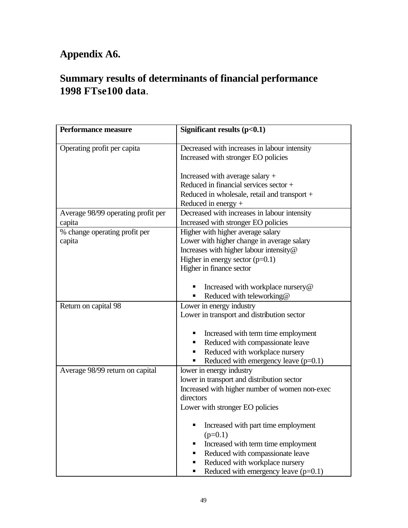# **Appendix A6.**

# **Summary results of determinants of financial performance 1998 FTse100 data**.

| Performance measure                     | Significant results $(p<0.1)$                                                                                                                                                                                                     |
|-----------------------------------------|-----------------------------------------------------------------------------------------------------------------------------------------------------------------------------------------------------------------------------------|
| Operating profit per capita             | Decreased with increases in labour intensity<br>Increased with stronger EO policies                                                                                                                                               |
|                                         | Increased with average salary $+$<br>Reduced in financial services sector $+$<br>Reduced in wholesale, retail and transport +<br>Reduced in energy $+$                                                                            |
| Average 98/99 operating profit per      | Decreased with increases in labour intensity                                                                                                                                                                                      |
| capita                                  | Increased with stronger EO policies                                                                                                                                                                                               |
| % change operating profit per<br>capita | Higher with higher average salary<br>Lower with higher change in average salary<br>Increases with higher labour intensity@<br>Higher in energy sector $(p=0.1)$<br>Higher in finance sector                                       |
|                                         | Increased with workplace nursery@<br>Reduced with teleworking@                                                                                                                                                                    |
| Return on capital 98                    | Lower in energy industry<br>Lower in transport and distribution sector<br>Increased with term time employment<br>Reduced with compassionate leave                                                                                 |
|                                         | Reduced with workplace nursery<br>Reduced with emergency leave $(p=0.1)$                                                                                                                                                          |
| Average 98/99 return on capital         | lower in energy industry<br>lower in transport and distribution sector<br>Increased with higher number of women non-exec<br>directors<br>Lower with stronger EO policies<br>Increased with part time employment<br>п<br>$(p=0.1)$ |
|                                         | Increased with term time employment<br>п<br>Reduced with compassionate leave<br>٠<br>Reduced with workplace nursery<br>٠<br>Reduced with emergency leave $(p=0.1)$<br>٠                                                           |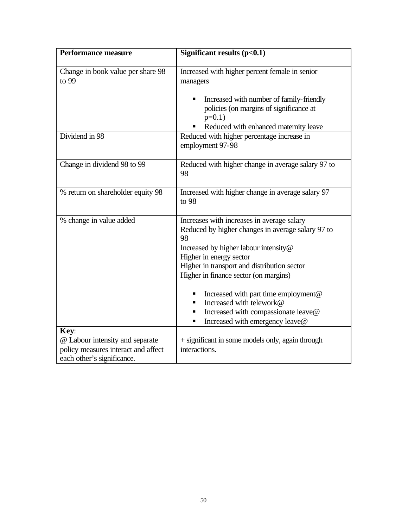| <b>Performance measure</b>                                                                                   | Significant results $(p<0.1)$                                                                                                                                                                                                                                                                                                                                                                                             |
|--------------------------------------------------------------------------------------------------------------|---------------------------------------------------------------------------------------------------------------------------------------------------------------------------------------------------------------------------------------------------------------------------------------------------------------------------------------------------------------------------------------------------------------------------|
| Change in book value per share 98<br>to 99                                                                   | Increased with higher percent female in senior<br>managers<br>Increased with number of family-friendly<br>policies (on margins of significance at<br>$p=0.1$ )                                                                                                                                                                                                                                                            |
| Dividend in 98                                                                                               | Reduced with enhanced maternity leave<br>Reduced with higher percentage increase in<br>employment 97-98                                                                                                                                                                                                                                                                                                                   |
| Change in dividend 98 to 99                                                                                  | Reduced with higher change in average salary 97 to<br>98                                                                                                                                                                                                                                                                                                                                                                  |
| % return on shareholder equity 98                                                                            | Increased with higher change in average salary 97<br>to 98                                                                                                                                                                                                                                                                                                                                                                |
| % change in value added                                                                                      | Increases with increases in average salary<br>Reduced by higher changes in average salary 97 to<br>98<br>Increased by higher labour intensity@<br>Higher in energy sector<br>Higher in transport and distribution sector<br>Higher in finance sector (on margins)<br>Increased with part time employment@<br>Increased with telework@<br>Increased with compassionate leave@<br>п<br>Increased with emergency leave@<br>п |
| Key:<br>@ Labour intensity and separate<br>policy measures interact and affect<br>each other's significance. | + significant in some models only, again through<br>interactions.                                                                                                                                                                                                                                                                                                                                                         |